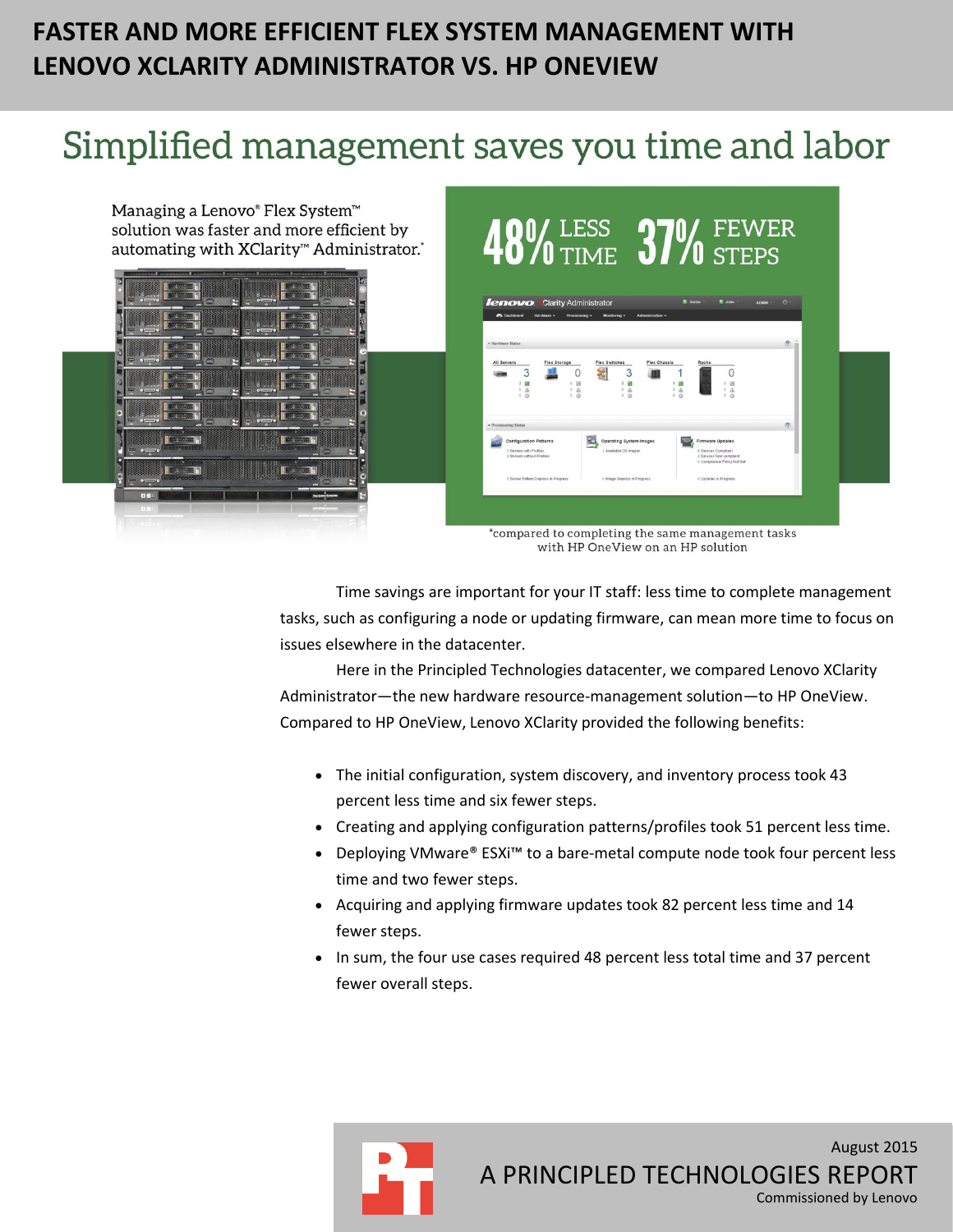# **FASTER AND MORE EFFICIENT FLEX SYSTEM MANAGEMENT WITH LENOVO XCLARITY ADMINISTRATOR VS. HP ONEVIEW**

# Simplified management saves you time and labor



Time savings are important for your IT staff: less time to complete management tasks, such as configuring a node or updating firmware, can mean more time to focus on issues elsewhere in the datacenter.

Here in the Principled Technologies datacenter, we compared Lenovo XClarity Administrator—the new hardware resource-management solution—to HP OneView. Compared to HP OneView, Lenovo XClarity provided the following benefits:

- The initial configuration, system discovery, and inventory process took 43 percent less time and six fewer steps.
- Creating and applying configuration patterns/profiles took 51 percent less time.
- Deploying VMware® ESXi<sup>™</sup> to a bare-metal compute node took four percent less time and two fewer steps.
- Acquiring and applying firmware updates took 82 percent less time and 14 fewer steps.
- In sum, the four use cases required 48 percent less total time and 37 percent fewer overall steps.

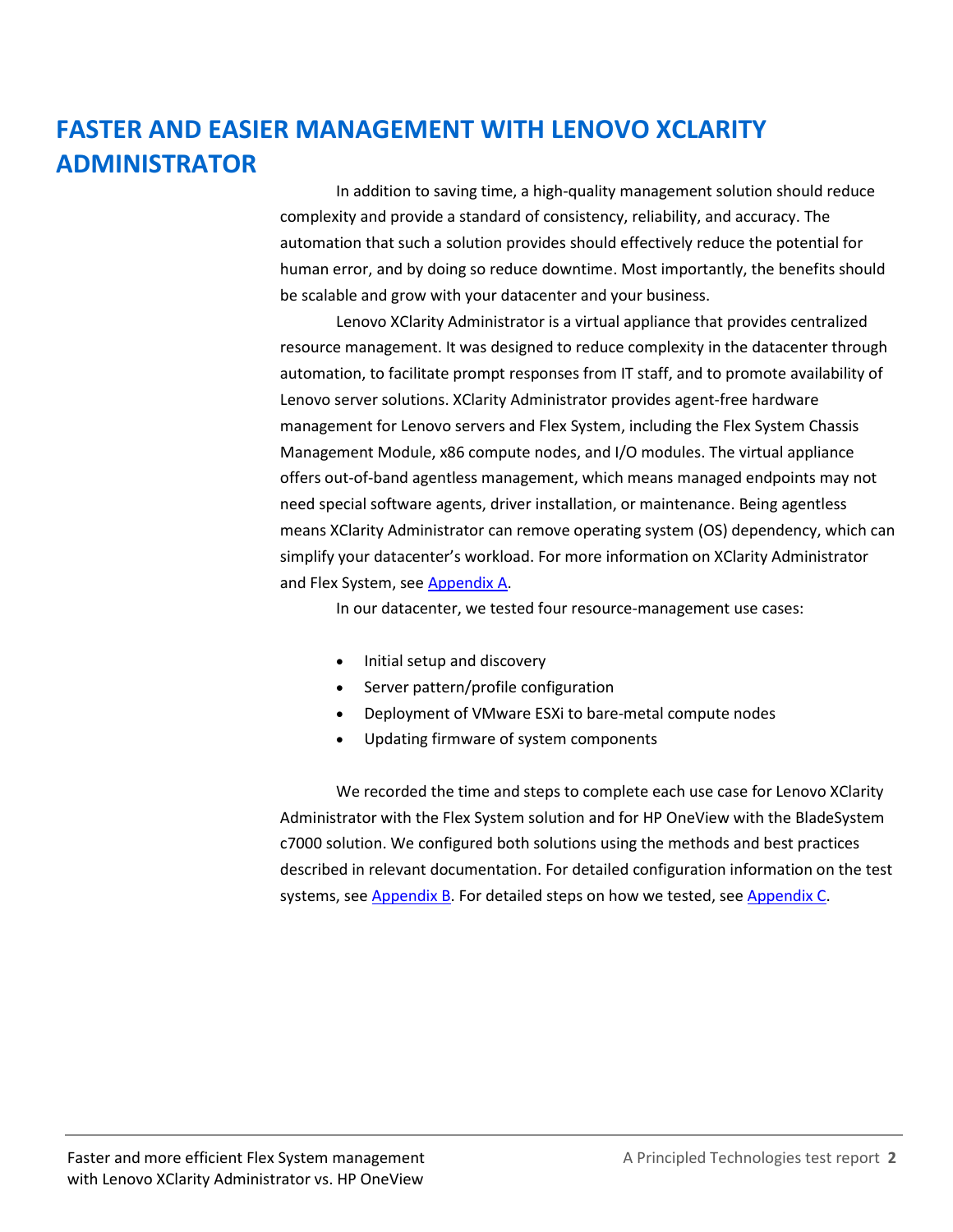# **FASTER AND EASIER MANAGEMENT WITH LENOVO XCLARITY ADMINISTRATOR**

In addition to saving time, a high-quality management solution should reduce complexity and provide a standard of consistency, reliability, and accuracy. The automation that such a solution provides should effectively reduce the potential for human error, and by doing so reduce downtime. Most importantly, the benefits should be scalable and grow with your datacenter and your business.

Lenovo XClarity Administrator is a virtual appliance that provides centralized resource management. It was designed to reduce complexity in the datacenter through automation, to facilitate prompt responses from IT staff, and to promote availability of Lenovo server solutions. XClarity Administrator provides agent-free hardware management for Lenovo servers and Flex System, including the Flex System Chassis Management Module, x86 compute nodes, and I/O modules. The virtual appliance offers out-of-band agentless management, which means managed endpoints may not need special software agents, driver installation, or maintenance. Being agentless means XClarity Administrator can remove operating system (OS) dependency, which can simplify your datacenter's workload. For more information on XClarity Administrator and Flex System, see [Appendix A.](#page-10-0)

In our datacenter, we tested four resource-management use cases:

- Initial setup and discovery
- Server pattern/profile configuration
- Deployment of VMware ESXi to bare-metal compute nodes
- Updating firmware of system components

We recorded the time and steps to complete each use case for Lenovo XClarity Administrator with the Flex System solution and for HP OneView with the BladeSystem c7000 solution. We configured both solutions using the methods and best practices described in relevant documentation. For detailed configuration information on the test systems, see [Appendix B.](#page-11-0) For detailed steps on how we tested, see [Appendix C.](#page-14-0)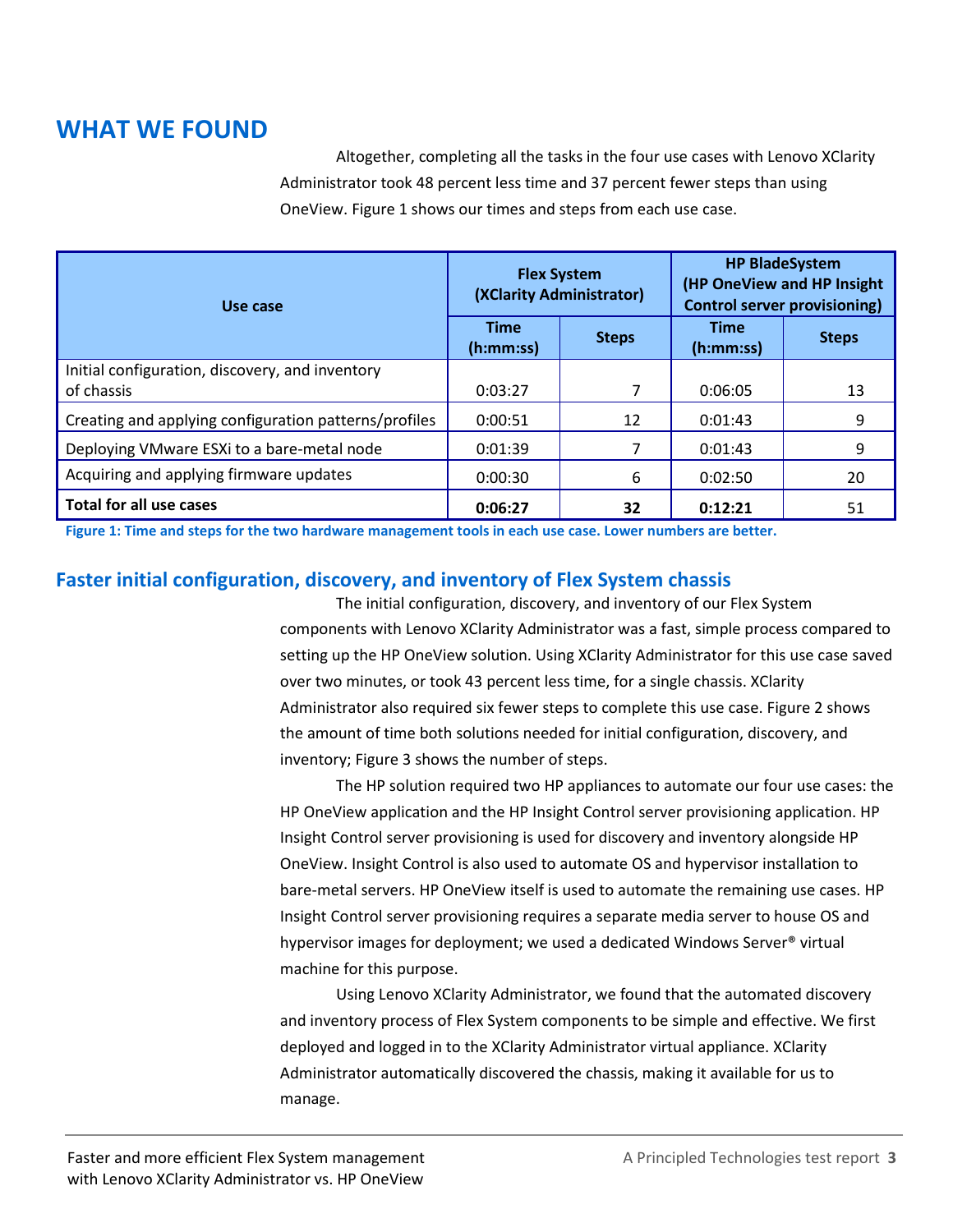# **WHAT WE FOUND**

Altogether, completing all the tasks in the four use cases with Lenovo XClarity Administrator took 48 percent less time and 37 percent fewer steps than using OneView. Figure 1 shows our times and steps from each use case.

| Use case                                                      |                          | <b>Flex System</b><br>(XClarity Administrator) | <b>HP BladeSystem</b><br>(HP OneView and HP Insight<br><b>Control server provisioning)</b> |              |
|---------------------------------------------------------------|--------------------------|------------------------------------------------|--------------------------------------------------------------------------------------------|--------------|
|                                                               | <b>Time</b><br>(h:mm:ss) | <b>Steps</b>                                   | Time<br>(h:mm:ss)                                                                          | <b>Steps</b> |
| Initial configuration, discovery, and inventory<br>of chassis | 0:03:27                  | 7                                              | 0:06:05                                                                                    | 13           |
| Creating and applying configuration patterns/profiles         | 0:00:51                  | 12                                             | 0:01:43                                                                                    | 9            |
| Deploying VMware ESXi to a bare-metal node                    | 0:01:39                  | 7                                              | 0:01:43                                                                                    | 9            |
| Acquiring and applying firmware updates                       | 0:00:30                  | 6                                              | 0:02:50                                                                                    | 20           |
| <b>Total for all use cases</b>                                | 0:06:27                  | 32                                             | 0:12:21                                                                                    | 51           |

**Figure 1: Time and steps for the two hardware management tools in each use case. Lower numbers are better.**

### **Faster initial configuration, discovery, and inventory of Flex System chassis**

The initial configuration, discovery, and inventory of our Flex System components with Lenovo XClarity Administrator was a fast, simple process compared to setting up the HP OneView solution. Using XClarity Administrator for this use case saved over two minutes, or took 43 percent less time, for a single chassis. XClarity Administrator also required six fewer steps to complete this use case. Figure 2 shows the amount of time both solutions needed for initial configuration, discovery, and inventory; Figure 3 shows the number of steps.

The HP solution required two HP appliances to automate our four use cases: the HP OneView application and the HP Insight Control server provisioning application. HP Insight Control server provisioning is used for discovery and inventory alongside HP OneView. Insight Control is also used to automate OS and hypervisor installation to bare-metal servers. HP OneView itself is used to automate the remaining use cases. HP Insight Control server provisioning requires a separate media server to house OS and hypervisor images for deployment; we used a dedicated Windows Server® virtual machine for this purpose.

Using Lenovo XClarity Administrator, we found that the automated discovery and inventory process of Flex System components to be simple and effective. We first deployed and logged in to the XClarity Administrator virtual appliance. XClarity Administrator automatically discovered the chassis, making it available for us to manage.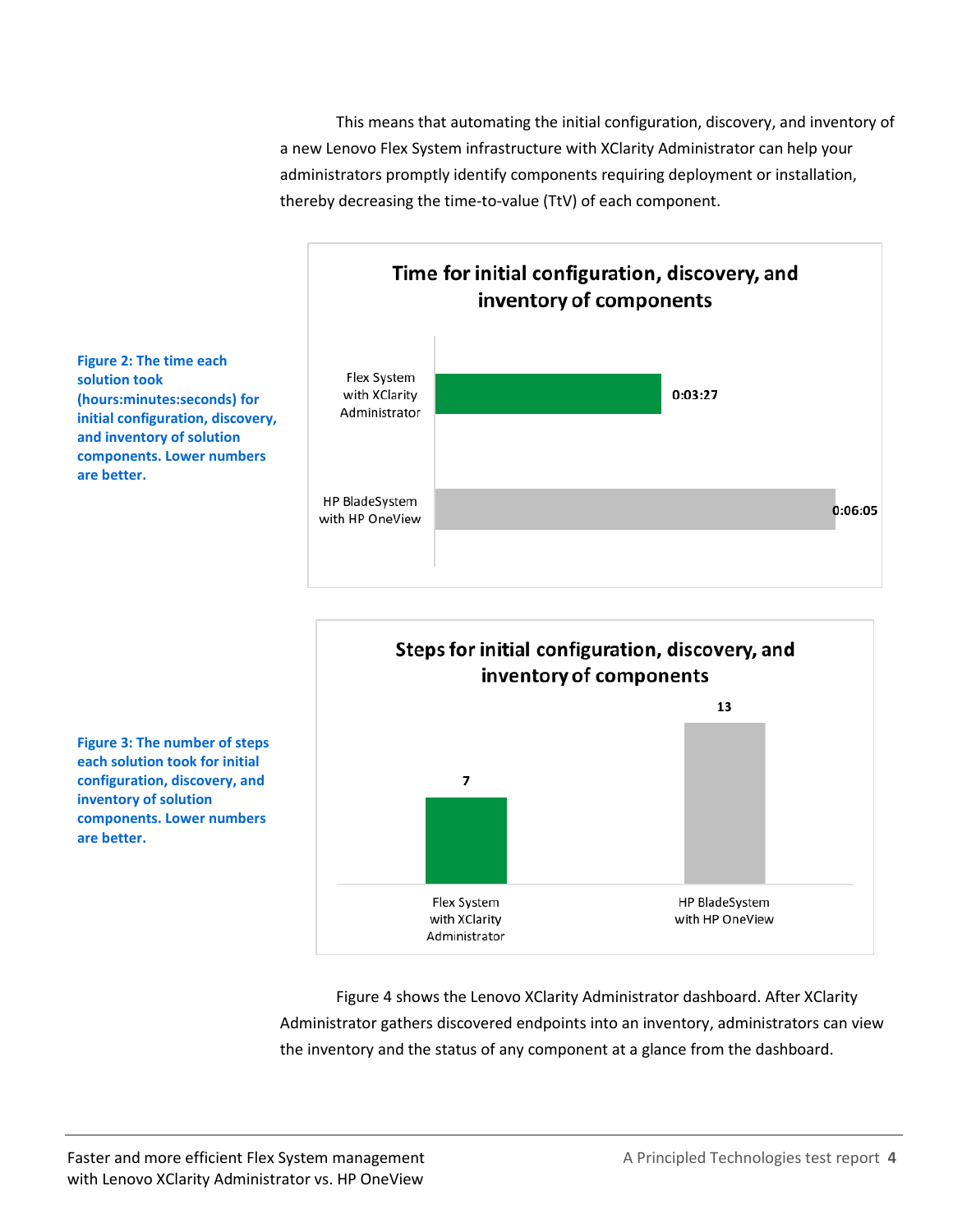This means that automating the initial configuration, discovery, and inventory of a new Lenovo Flex System infrastructure with XClarity Administrator can help your administrators promptly identify components requiring deployment or installation, thereby decreasing the time-to-value (TtV) of each component.





**Figure 3: The number of steps each solution took for initial configuration, discovery, and inventory of solution components. Lower numbers are better.**

> Figure 4 shows the Lenovo XClarity Administrator dashboard. After XClarity Administrator gathers discovered endpoints into an inventory, administrators can view the inventory and the status of any component at a glance from the dashboard.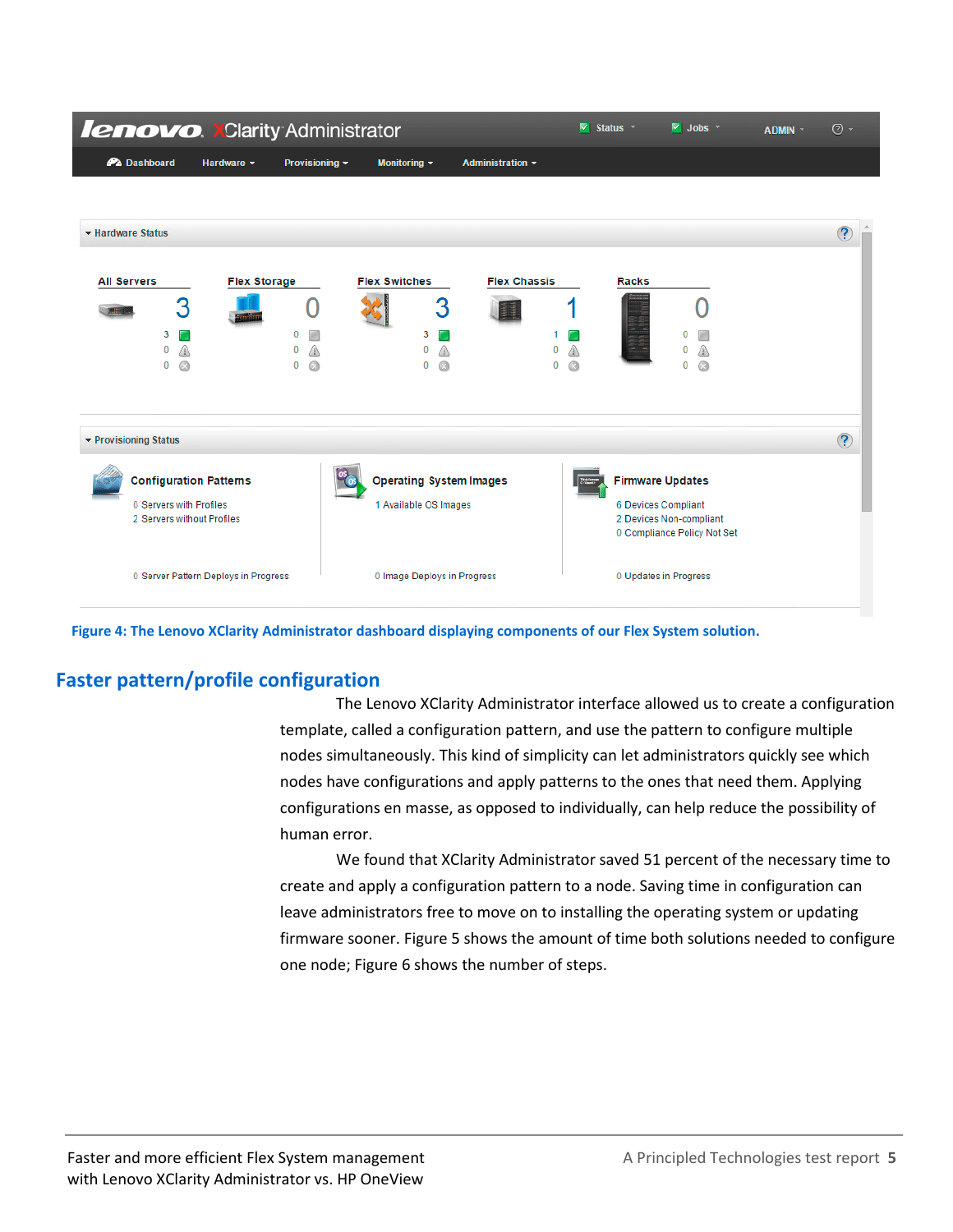| <b>lenovo. XClarity Administrator</b>                                                  |                                      |                  |                                                         |                         | v                             | Status <b>T</b> | $\triangledown$ Jobs $\triangledown$                                                                     | ADMIN * | $\circledcirc$ - |
|----------------------------------------------------------------------------------------|--------------------------------------|------------------|---------------------------------------------------------|-------------------------|-------------------------------|-----------------|----------------------------------------------------------------------------------------------------------|---------|------------------|
| <b>PA</b> Dashboard                                                                    | Hardware v                           | Provisioning ~   | Monitoring $\sim$                                       | <b>Administration ▼</b> |                               |                 |                                                                                                          |         |                  |
|                                                                                        |                                      |                  |                                                         |                         |                               |                 |                                                                                                          |         |                  |
| ▼ Hardware Status                                                                      |                                      |                  |                                                         |                         |                               |                 |                                                                                                          |         | $\circledR$      |
| <b>All Servers</b><br>3<br>3<br>0<br>⋒<br>G<br>$\bf{0}$                                | <b>Flex Storage</b>                  | 0<br>n<br>Q<br>0 | <b>Flex Switches</b><br>3<br>3<br>0<br>0<br>Q           | <b>Flex Chassis</b>     | ◬<br>0<br>$\odot$<br>$\bf{0}$ | <b>Racks</b>    | $\Omega$<br>Q<br>$\Omega$                                                                                |         |                  |
| ▼ Provisioning Status                                                                  |                                      |                  |                                                         |                         |                               |                 |                                                                                                          |         | $\circled{?}$    |
| <b>Configuration Patterns</b><br>0 Servers with Profiles<br>2 Servers without Profiles |                                      |                  | <b>Operating System Images</b><br>1 Available OS Images |                         |                               |                 | <b>Firmware Updates</b><br>6 Devices Compliant<br>2 Devices Non-compliant<br>0 Compliance Policy Not Set |         |                  |
|                                                                                        | 0 Server Pattern Deploys in Progress |                  | 0 Image Deploys in Progress                             |                         |                               |                 | 0 Updates in Progress                                                                                    |         |                  |

**Figure 4: The Lenovo XClarity Administrator dashboard displaying components of our Flex System solution.**

### **Faster pattern/profile configuration**

The Lenovo XClarity Administrator interface allowed us to create a configuration template, called a configuration pattern, and use the pattern to configure multiple nodes simultaneously. This kind of simplicity can let administrators quickly see which nodes have configurations and apply patterns to the ones that need them. Applying configurations en masse, as opposed to individually, can help reduce the possibility of human error.

We found that XClarity Administrator saved 51 percent of the necessary time to create and apply a configuration pattern to a node. Saving time in configuration can leave administrators free to move on to installing the operating system or updating firmware sooner. Figure 5 shows the amount of time both solutions needed to configure one node; Figure 6 shows the number of steps.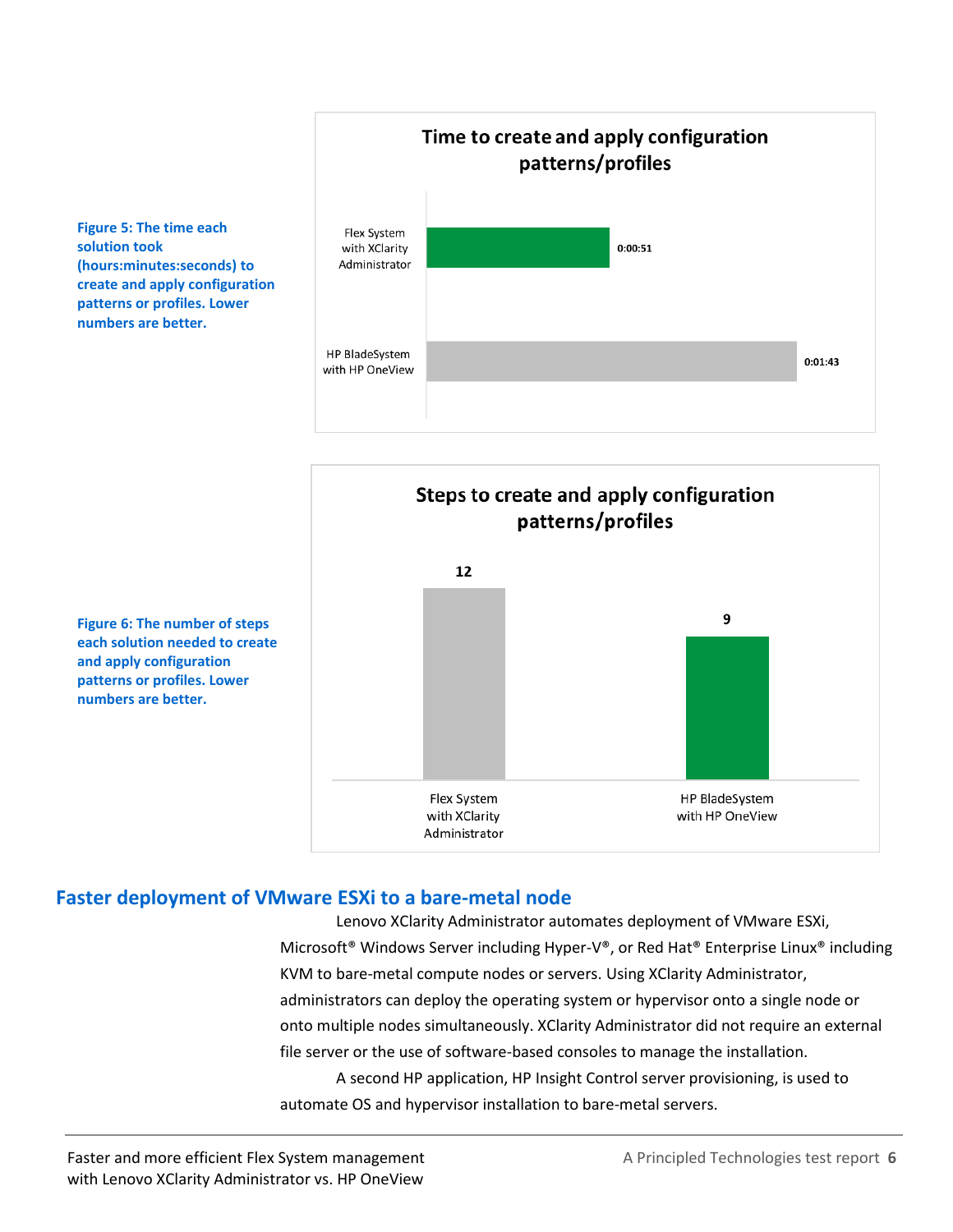

Steps to create and apply configuration patterns/profiles 12 9 Flex System HP BladeSystem with HP OneView with XClarity Administrator

**Figure 6: The number of steps each solution needed to create and apply configuration patterns or profiles. Lower numbers are better.**

**Figure 5: The time each** 

**(hours:minutes:seconds) to create and apply configuration patterns or profiles. Lower numbers are better.**

**solution took** 

### **Faster deployment of VMware ESXi to a bare-metal node**

Lenovo XClarity Administrator automates deployment of VMware ESXi, Microsoft® Windows Server including Hyper-V®, or Red Hat® Enterprise Linux® including KVM to bare-metal compute nodes or servers. Using XClarity Administrator, administrators can deploy the operating system or hypervisor onto a single node or onto multiple nodes simultaneously. XClarity Administrator did not require an external file server or the use of software-based consoles to manage the installation. A second HP application, HP Insight Control server provisioning, is used to automate OS and hypervisor installation to bare-metal servers.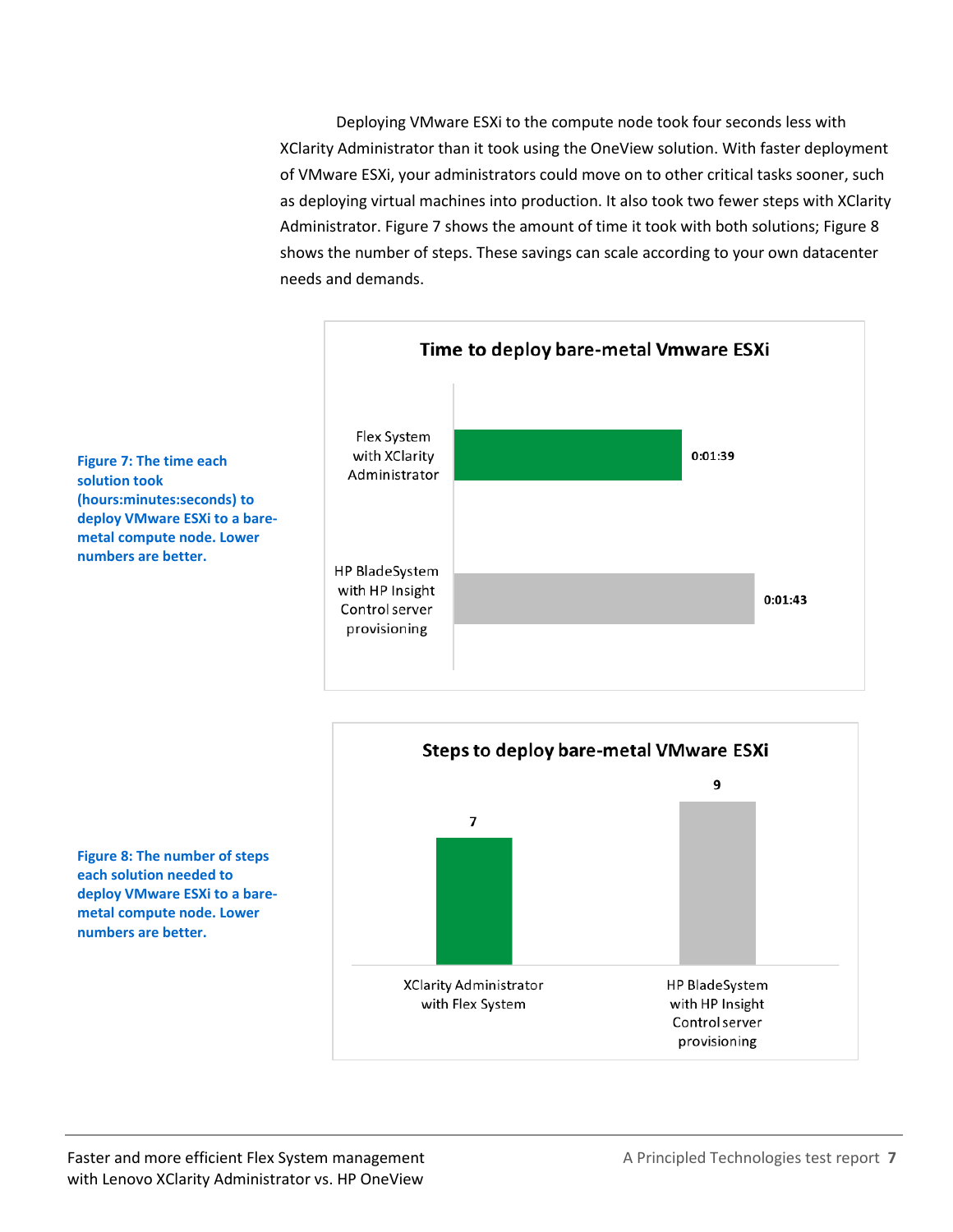Deploying VMware ESXi to the compute node took four seconds less with XClarity Administrator than it took using the OneView solution. With faster deployment of VMware ESXi, your administrators could move on to other critical tasks sooner, such as deploying virtual machines into production. It also took two fewer steps with XClarity Administrator. Figure 7 shows the amount of time it took with both solutions; Figure 8 shows the number of steps. These savings can scale according to your own datacenter needs and demands.





**Figure 7: The time each solution took (hours:minutes:seconds) to deploy VMware ESXi to a baremetal compute node. Lower numbers are better.**

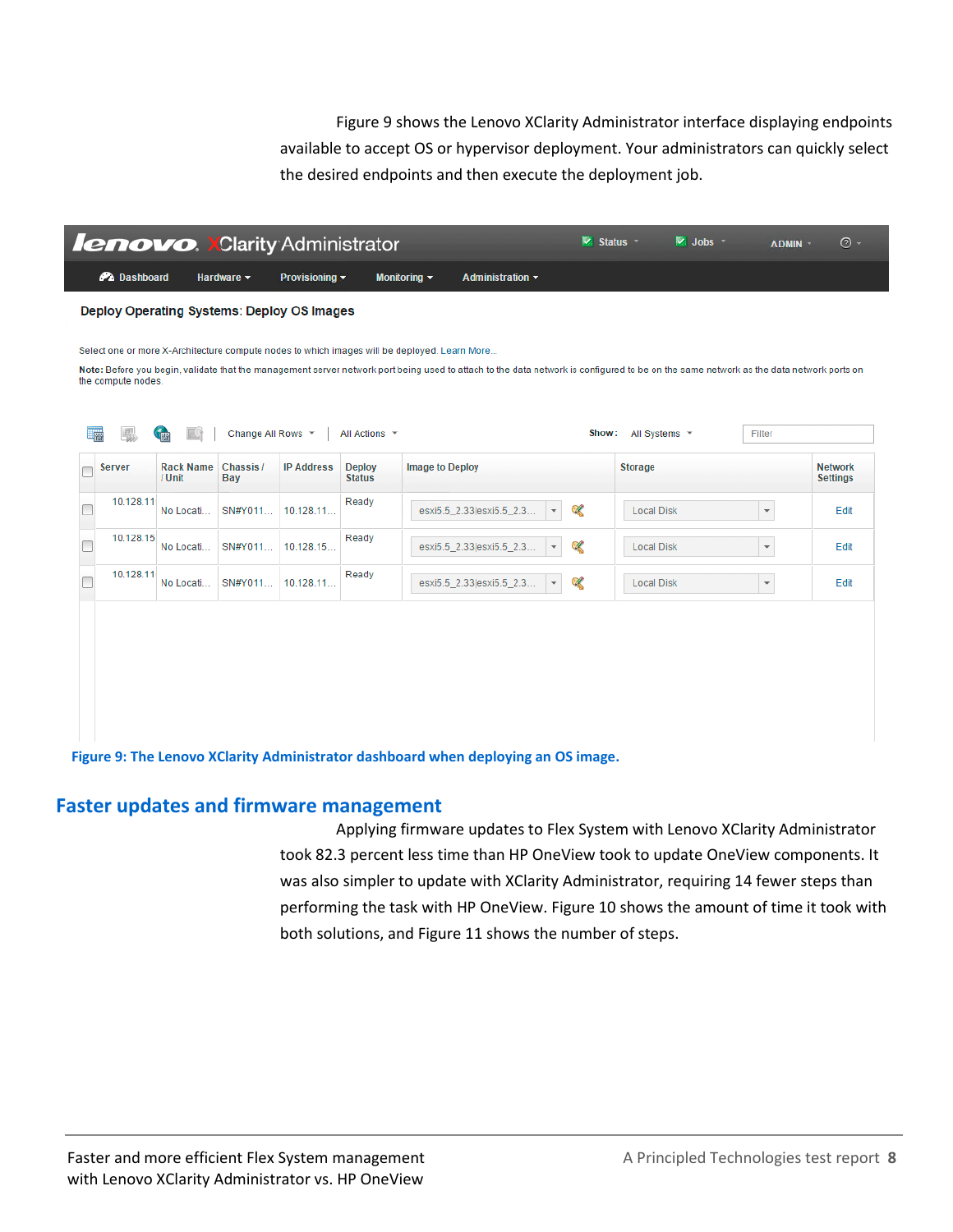Figure 9 shows the Lenovo XClarity Administrator interface displaying endpoints available to accept OS or hypervisor deployment. Your administrators can quickly select the desired endpoints and then execute the deployment job.



#### **Faster updates and firmware management**

Applying firmware updates to Flex System with Lenovo XClarity Administrator took 82.3 percent less time than HP OneView took to update OneView components. It was also simpler to update with XClarity Administrator, requiring 14 fewer steps than performing the task with HP OneView. Figure 10 shows the amount of time it took with both solutions, and Figure 11 shows the number of steps.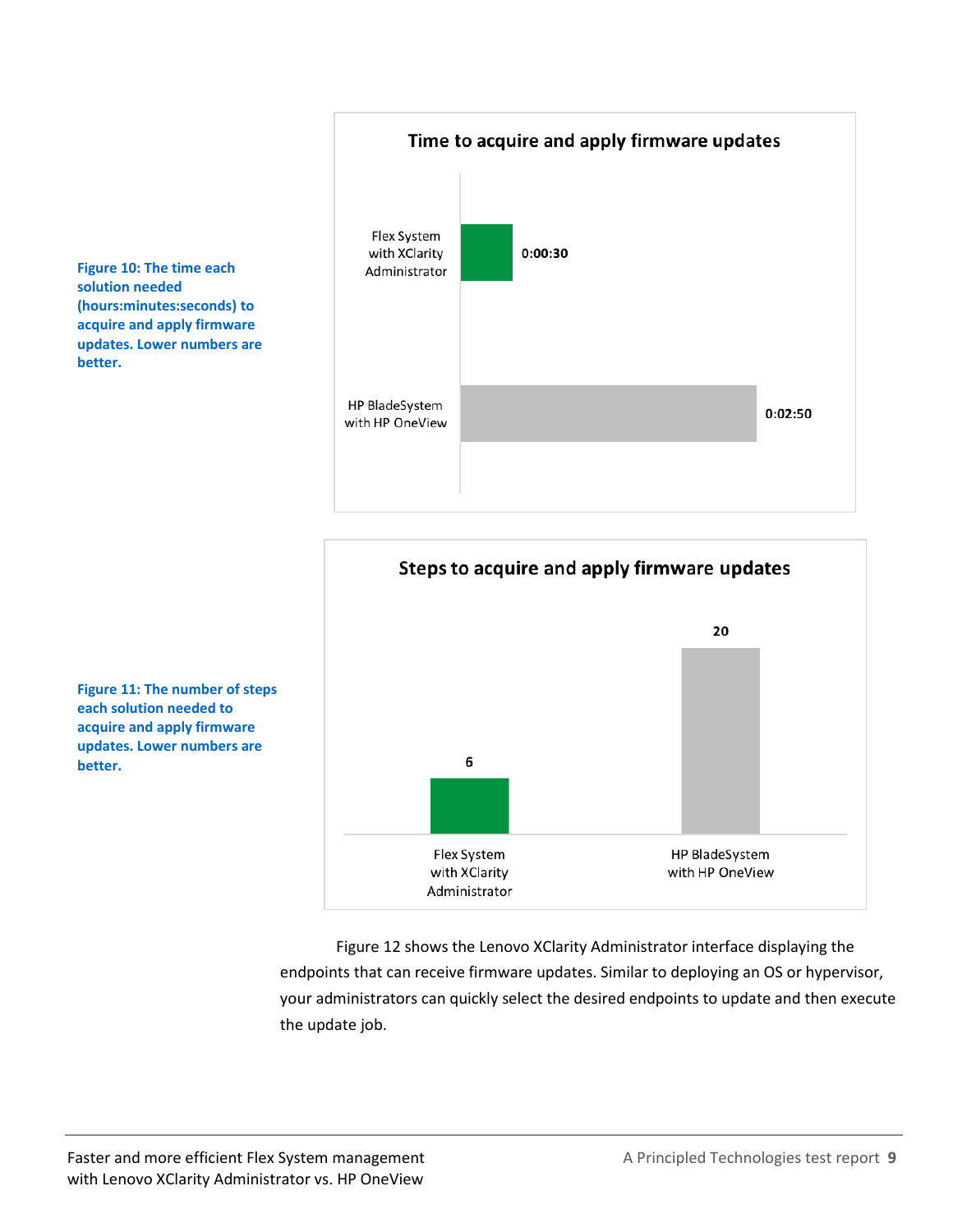**Figure 10: The time each solution needed (hours:minutes:seconds) to acquire and apply firmware updates. Lower numbers are better.**





**Figure 11: The number of steps each solution needed to acquire and apply firmware updates. Lower numbers are better.**

> Figure 12 shows the Lenovo XClarity Administrator interface displaying the endpoints that can receive firmware updates. Similar to deploying an OS or hypervisor, your administrators can quickly select the desired endpoints to update and then execute the update job.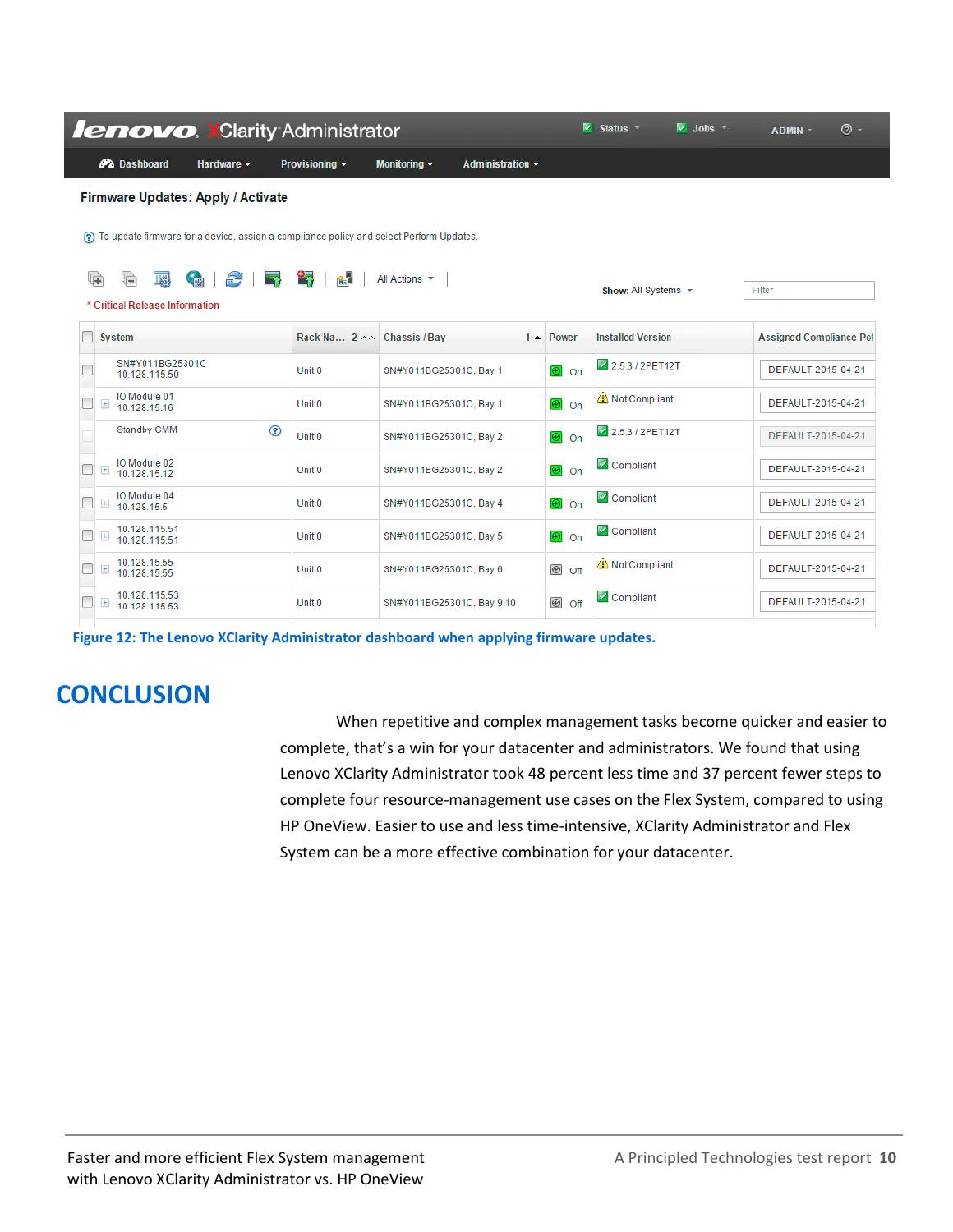|               |                                                                                               | <b>lenovo. XClarity Administrator</b>                                                       |                            |                           |                       |                         | $\overline{\mathbf{V}}$ Status $\overline{\mathbf{V}}$ | $\overline{\mathbb{V}}$ Jobs $\overline{\mathbb{V}}$ | ADMIN -                        | $\odot$ - |
|---------------|-----------------------------------------------------------------------------------------------|---------------------------------------------------------------------------------------------|----------------------------|---------------------------|-----------------------|-------------------------|--------------------------------------------------------|------------------------------------------------------|--------------------------------|-----------|
|               | <b>PA</b> Dashboard                                                                           | Hardware $\sim$                                                                             | Provisioning $\sim$        | Monitoring $\sim$         | Administration $\sim$ |                         |                                                        |                                                      |                                |           |
|               |                                                                                               | <b>Firmware Updates: Apply / Activate</b>                                                   |                            |                           |                       |                         |                                                        |                                                      |                                |           |
|               |                                                                                               | (?) To update firmware for a device, assign a compliance policy and select Perform Updates. |                            |                           |                       |                         |                                                        |                                                      |                                |           |
|               |                                                                                               |                                                                                             |                            |                           |                       |                         |                                                        |                                                      |                                |           |
| G             | G<br><b>IKE</b><br>* Critical Release Information                                             | Ð<br><b>CITY</b>                                                                            | 图                          | All Actions -             |                       |                         | Show: All Systems $\sim$                               |                                                      | Filter                         |           |
|               | <b>System</b>                                                                                 |                                                                                             | Rack Na 2 ^^ Chassis / Bay |                           | $1 -$                 | Power                   | <b>Installed Version</b>                               |                                                      | <b>Assigned Compliance Pol</b> |           |
|               | SN#Y011BG25301C<br>10.128.115.50                                                              |                                                                                             | Unit 0                     | SN#Y011BG25301C, Bay 1    |                       | ®lon                    | 2.5.3 / 2PET12T                                        |                                                      | DEFAULT-2015-04-21             |           |
| $\boxed{\pm}$ | IO Module 01<br>10.128.15.16                                                                  |                                                                                             | Unit 0                     | SN#Y011BG25301C, Bay 1    |                       | ම on                    | Not Compliant                                          |                                                      | DEFAULT-2015-04-21             |           |
|               | Standby CMM                                                                                   | $\circledR$                                                                                 | Unit 0                     | SN#Y011BG25301C, Bay 2    |                       | <b>®</b> l On           | 2.5.3 / 2PET12T                                        |                                                      | DEFAULT-2015-04-21             |           |
| $\pm$         | IO Module 02<br>10 128 15 12                                                                  |                                                                                             | Unit <sub>0</sub>          | SN#Y011BG25301C, Bay 2    |                       | ®lon                    | Compliant                                              |                                                      | DEFAULT-2015-04-21             |           |
| $\pm$         | IO Module 04<br>10.128.15.5                                                                   |                                                                                             | Unit 0                     | SN#Y011BG25301C, Bay 4    |                       | <b>⊛</b> on             | Compliant                                              |                                                      | DEFAULT-2015-04-21             |           |
| $\pm$         | 10.128.115.51<br>10.128.115.51                                                                |                                                                                             | Unit 0                     | SN#Y011BG25301C, Bay 5    |                       | <b>⊘</b> on             | Compliant                                              |                                                      | DEFAULT-2015-04-21             |           |
|               | 10.128.15.55<br>$\pm$<br>10.128.15.55                                                         |                                                                                             | Unit 0                     | SN#Y011BG25301C, Bay 6    |                       | <b><sup>⊙</sup></b> off | Not Compliant                                          |                                                      | DEFAULT-2015-04-21             |           |
|               | 10.128.115.53<br>$\begin{array}{c} \begin{array}{c} \end{array} \end{array}$<br>10.128.115.53 |                                                                                             | Unit 0                     | SN#Y011BG25301C, Bay 9,10 |                       | <b><sup>i</sup></b> ⊙ff | Compliant                                              |                                                      | DEFAULT-2015-04-21             |           |

**Figure 12: The Lenovo XClarity Administrator dashboard when applying firmware updates.**

# **CONCLUSION**

When repetitive and complex management tasks become quicker and easier to complete, that's a win for your datacenter and administrators. We found that using Lenovo XClarity Administrator took 48 percent less time and 37 percent fewer steps to complete four resource-management use cases on the Flex System, compared to using HP OneView. Easier to use and less time-intensive, XClarity Administrator and Flex System can be a more effective combination for your datacenter.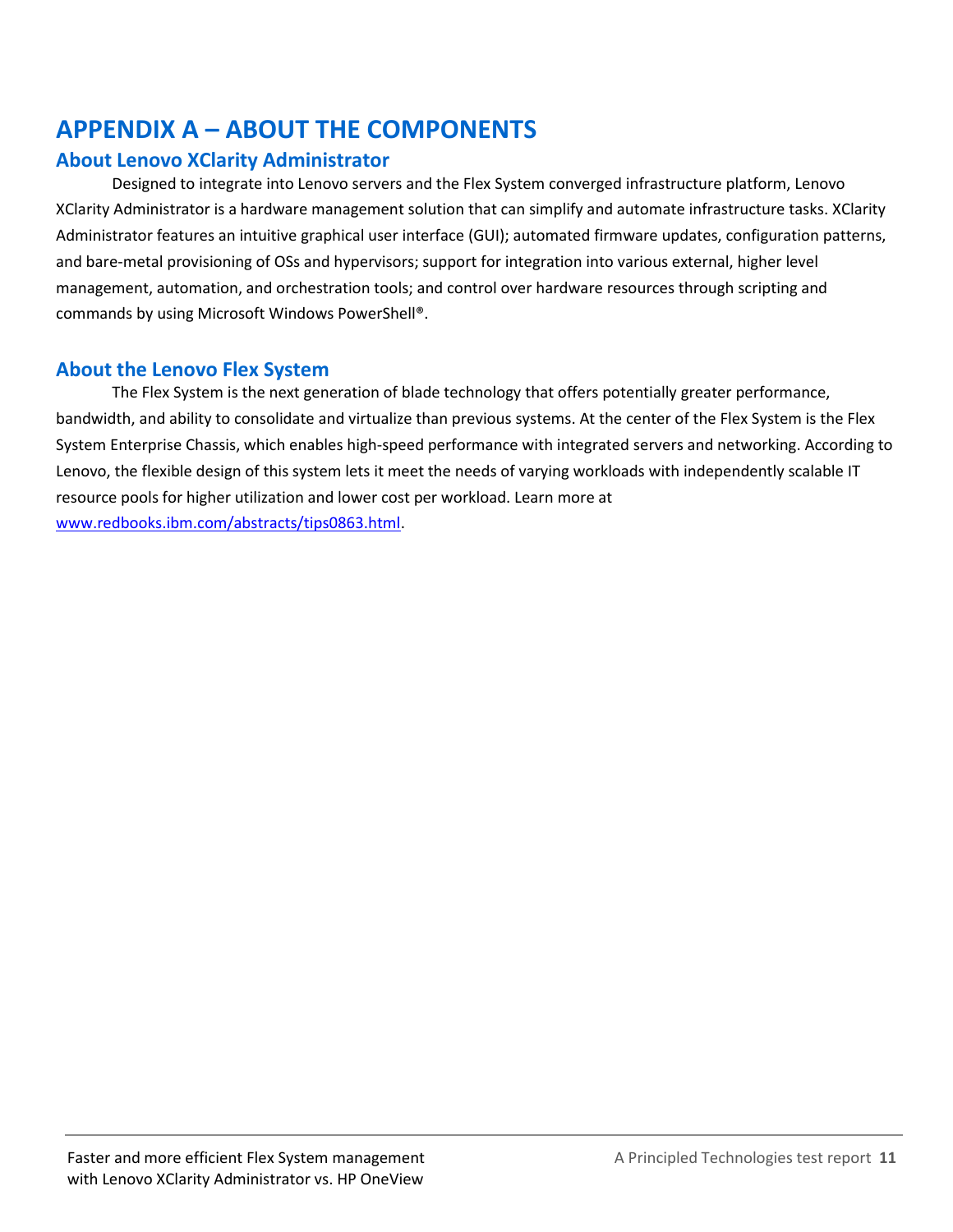# <span id="page-10-0"></span>**APPENDIX A – ABOUT THE COMPONENTS**

### **About Lenovo XClarity Administrator**

Designed to integrate into Lenovo servers and the Flex System converged infrastructure platform, Lenovo XClarity Administrator is a hardware management solution that can simplify and automate infrastructure tasks. XClarity Administrator features an intuitive graphical user interface (GUI); automated firmware updates, configuration patterns, and bare-metal provisioning of OSs and hypervisors; support for integration into various external, higher level management, automation, and orchestration tools; and control over hardware resources through scripting and commands by using Microsoft Windows PowerShell®.

### **About the Lenovo Flex System**

The Flex System is the next generation of blade technology that offers potentially greater performance, bandwidth, and ability to consolidate and virtualize than previous systems. At the center of the Flex System is the Flex System Enterprise Chassis, which enables high-speed performance with integrated servers and networking. According to Lenovo, the flexible design of this system lets it meet the needs of varying workloads with independently scalable IT resource pools for higher utilization and lower cost per workload. Learn more at [www.redbooks.ibm.com/abstracts/tips0863.html.](http://www.redbooks.ibm.com/abstracts/tips0863.html)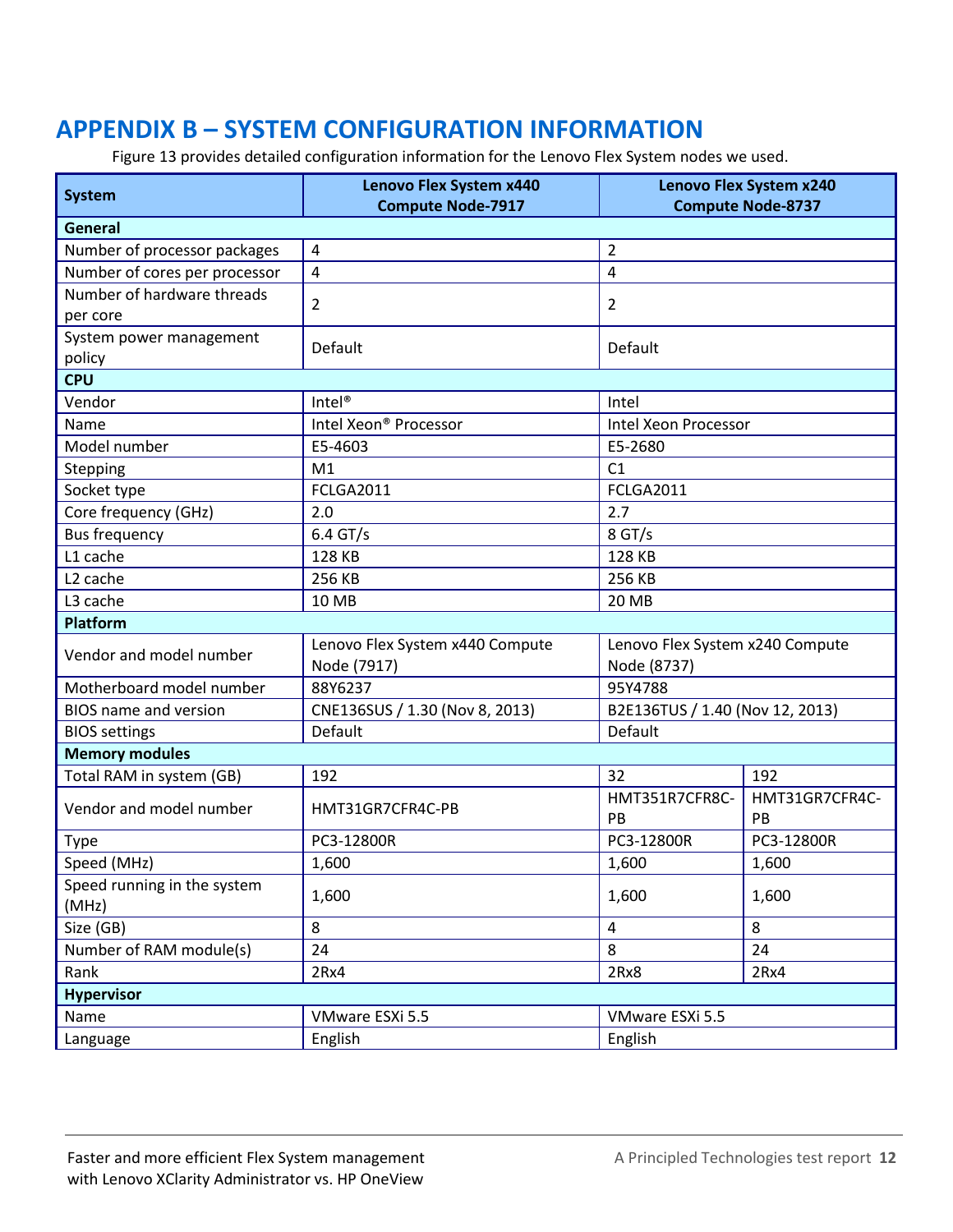# <span id="page-11-0"></span>**APPENDIX B – SYSTEM CONFIGURATION INFORMATION**

Figure 13 provides detailed configuration information for the Lenovo Flex System nodes we used.

|                               | Lenovo Flex System x440<br>Lenovo Flex System x240 |                                 |                      |  |  |  |
|-------------------------------|----------------------------------------------------|---------------------------------|----------------------|--|--|--|
| <b>System</b>                 | <b>Compute Node-7917</b>                           | <b>Compute Node-8737</b>        |                      |  |  |  |
| General                       |                                                    |                                 |                      |  |  |  |
| Number of processor packages  | $\overline{4}$                                     | 2                               |                      |  |  |  |
| Number of cores per processor | $\overline{4}$                                     | 4                               |                      |  |  |  |
| Number of hardware threads    | 2                                                  | 2                               |                      |  |  |  |
| per core                      |                                                    |                                 |                      |  |  |  |
| System power management       | Default                                            | Default                         |                      |  |  |  |
| policy                        |                                                    |                                 |                      |  |  |  |
| <b>CPU</b>                    |                                                    |                                 |                      |  |  |  |
| Vendor                        | Intel <sup>®</sup>                                 | Intel                           |                      |  |  |  |
| Name                          | Intel Xeon® Processor                              | Intel Xeon Processor            |                      |  |  |  |
| Model number                  | E5-4603                                            | E5-2680                         |                      |  |  |  |
| Stepping                      | M1                                                 | C1                              |                      |  |  |  |
| Socket type                   | <b>FCLGA2011</b>                                   | <b>FCLGA2011</b>                |                      |  |  |  |
| Core frequency (GHz)          | 2.0                                                | 2.7                             |                      |  |  |  |
| <b>Bus frequency</b>          | $6.4$ GT/s                                         | 8 GT/s                          |                      |  |  |  |
| L1 cache                      | 128 KB                                             | 128 KB                          |                      |  |  |  |
| L <sub>2</sub> cache          | 256 KB                                             | 256 KB                          |                      |  |  |  |
| L3 cache                      | 10 MB                                              | 20 MB                           |                      |  |  |  |
| <b>Platform</b>               |                                                    |                                 |                      |  |  |  |
| Vendor and model number       | Lenovo Flex System x440 Compute                    | Lenovo Flex System x240 Compute |                      |  |  |  |
|                               | Node (7917)                                        | Node (8737)                     |                      |  |  |  |
| Motherboard model number      | 88Y6237                                            | 95Y4788                         |                      |  |  |  |
| <b>BIOS</b> name and version  | CNE136SUS / 1.30 (Nov 8, 2013)                     | B2E136TUS / 1.40 (Nov 12, 2013) |                      |  |  |  |
| <b>BIOS</b> settings          | Default                                            | Default                         |                      |  |  |  |
| <b>Memory modules</b>         |                                                    |                                 |                      |  |  |  |
| Total RAM in system (GB)      | 192                                                | 32                              | 192                  |  |  |  |
| Vendor and model number       | HMT351R7CFR8C-<br>HMT31GR7CFR4C-PB<br>PB           |                                 | HMT31GR7CFR4C-<br>PB |  |  |  |
| <b>Type</b>                   | PC3-12800R                                         | PC3-12800R                      | PC3-12800R           |  |  |  |
| Speed (MHz)                   | 1,600                                              | 1,600                           | 1,600                |  |  |  |
| Speed running in the system   |                                                    |                                 |                      |  |  |  |
| (MHz)                         | 1,600                                              | 1,600                           | 1,600                |  |  |  |
| Size (GB)                     | 8                                                  | $\overline{a}$                  | 8                    |  |  |  |
| Number of RAM module(s)       | 24<br>8<br>24                                      |                                 |                      |  |  |  |
| Rank                          | 2Rx4                                               | 2Rx8<br>2Rx4                    |                      |  |  |  |
| <b>Hypervisor</b>             |                                                    |                                 |                      |  |  |  |
| Name                          | VMware ESXi 5.5                                    | VMware ESXi 5.5                 |                      |  |  |  |
| Language                      | English                                            | English                         |                      |  |  |  |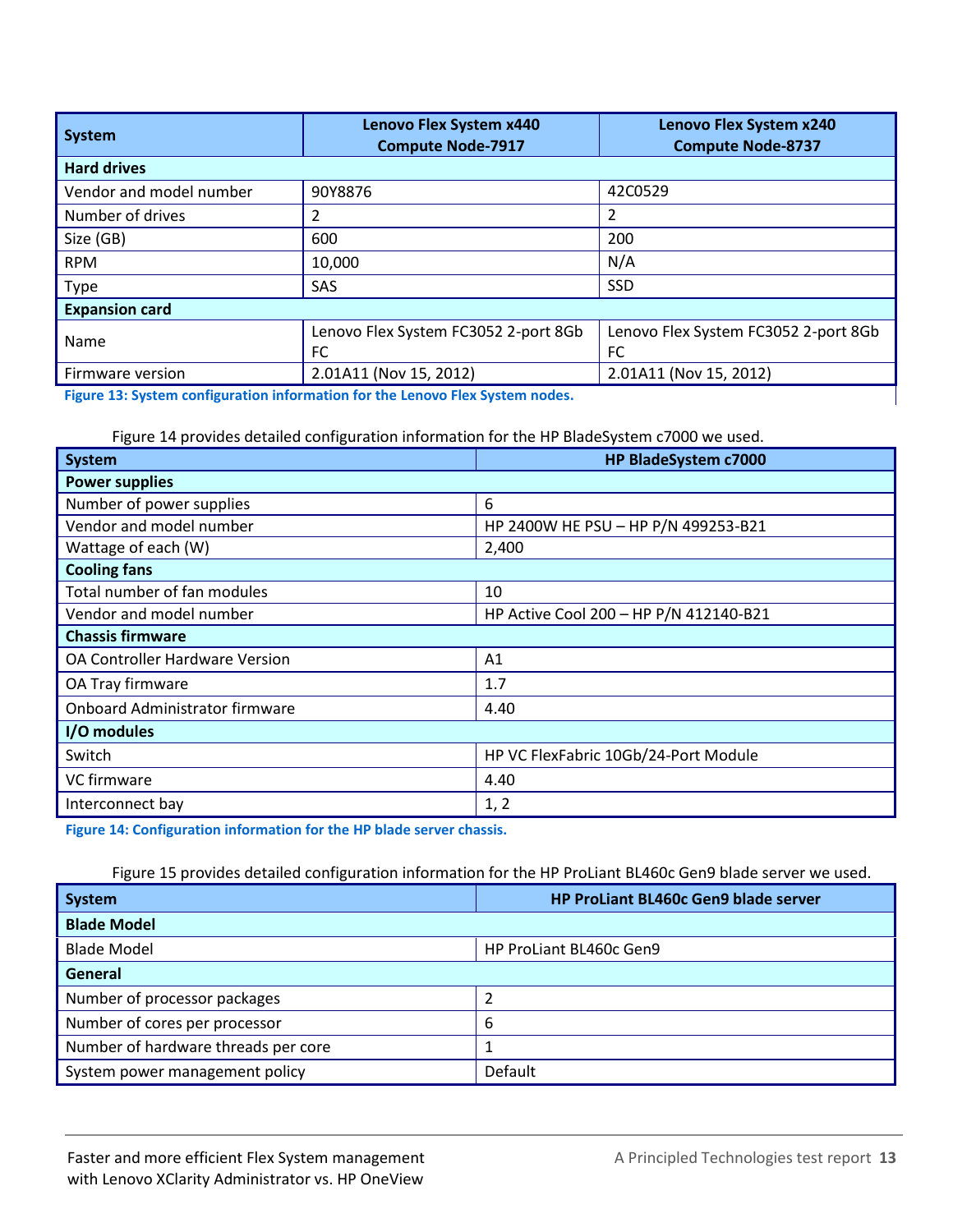| System                  | Lenovo Flex System x440<br><b>Compute Node-7917</b> | <b>Lenovo Flex System x240</b><br><b>Compute Node-8737</b> |  |  |  |  |  |
|-------------------------|-----------------------------------------------------|------------------------------------------------------------|--|--|--|--|--|
| <b>Hard drives</b>      |                                                     |                                                            |  |  |  |  |  |
| Vendor and model number | 90Y8876                                             | 42C0529                                                    |  |  |  |  |  |
| Number of drives        |                                                     | 2                                                          |  |  |  |  |  |
| Size (GB)               | 600                                                 | 200                                                        |  |  |  |  |  |
| <b>RPM</b>              | 10,000                                              | N/A                                                        |  |  |  |  |  |
| Type                    | SAS                                                 | <b>SSD</b>                                                 |  |  |  |  |  |
| <b>Expansion card</b>   |                                                     |                                                            |  |  |  |  |  |
| Name                    | Lenovo Flex System FC3052 2-port 8Gb                | Lenovo Flex System FC3052 2-port 8Gb                       |  |  |  |  |  |
|                         | FC                                                  | FC                                                         |  |  |  |  |  |
| Firmware version        | 2.01A11 (Nov 15, 2012)                              | 2.01A11 (Nov 15, 2012)                                     |  |  |  |  |  |

**Figure 13: System configuration information for the Lenovo Flex System nodes.**

Figure 14 provides detailed configuration information for the HP BladeSystem c7000 we used.

| System                         | HP BladeSystem c7000                   |  |  |  |
|--------------------------------|----------------------------------------|--|--|--|
| <b>Power supplies</b>          |                                        |  |  |  |
| Number of power supplies       | 6                                      |  |  |  |
| Vendor and model number        | HP 2400W HE PSU - HP P/N 499253-B21    |  |  |  |
| Wattage of each (W)            | 2,400                                  |  |  |  |
| <b>Cooling fans</b>            |                                        |  |  |  |
| Total number of fan modules    | 10                                     |  |  |  |
| Vendor and model number        | HP Active Cool 200 - HP P/N 412140-B21 |  |  |  |
| <b>Chassis firmware</b>        |                                        |  |  |  |
| OA Controller Hardware Version | A <sub>1</sub>                         |  |  |  |
| OA Tray firmware               | 1.7                                    |  |  |  |
| Onboard Administrator firmware | 4.40                                   |  |  |  |
| I/O modules                    |                                        |  |  |  |
| Switch                         | HP VC FlexFabric 10Gb/24-Port Module   |  |  |  |
| VC firmware                    | 4.40                                   |  |  |  |
| Interconnect bay               | 1, 2                                   |  |  |  |

**Figure 14: Configuration information for the HP blade server chassis.**

#### Figure 15 provides detailed configuration information for the HP ProLiant BL460c Gen9 blade server we used.

| <b>System</b>                       | HP ProLiant BL460c Gen9 blade server |  |  |  |  |
|-------------------------------------|--------------------------------------|--|--|--|--|
| <b>Blade Model</b>                  |                                      |  |  |  |  |
| <b>Blade Model</b>                  | HP ProLiant BL460c Gen9              |  |  |  |  |
| General                             |                                      |  |  |  |  |
| Number of processor packages        |                                      |  |  |  |  |
| Number of cores per processor       | 6                                    |  |  |  |  |
| Number of hardware threads per core |                                      |  |  |  |  |
| System power management policy      | Default                              |  |  |  |  |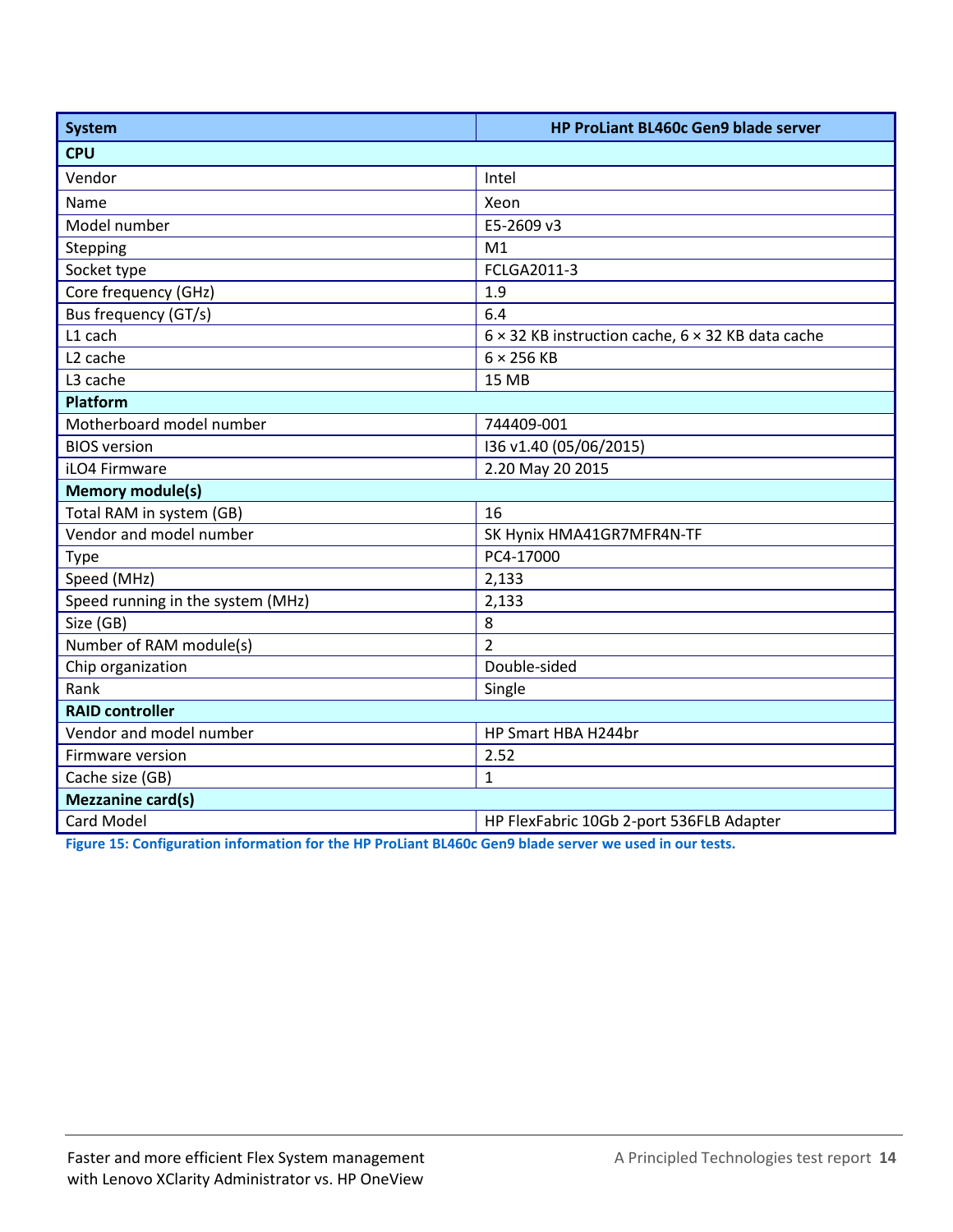| System                            | HP ProLiant BL460c Gen9 blade server                            |  |  |  |
|-----------------------------------|-----------------------------------------------------------------|--|--|--|
| <b>CPU</b>                        |                                                                 |  |  |  |
| Vendor                            | Intel                                                           |  |  |  |
| Name                              | Xeon                                                            |  |  |  |
| Model number                      | E5-2609 v3                                                      |  |  |  |
| Stepping                          | M1                                                              |  |  |  |
| Socket type                       | FCLGA2011-3                                                     |  |  |  |
| Core frequency (GHz)              | 1.9                                                             |  |  |  |
| Bus frequency (GT/s)              | 6.4                                                             |  |  |  |
| L1 cach                           | $6 \times 32$ KB instruction cache, $6 \times 32$ KB data cache |  |  |  |
| L <sub>2</sub> cache              | $6 \times 256$ KB                                               |  |  |  |
| L3 cache                          | <b>15 MB</b>                                                    |  |  |  |
| Platform                          |                                                                 |  |  |  |
| Motherboard model number          | 744409-001                                                      |  |  |  |
| <b>BIOS</b> version               | I36 v1.40 (05/06/2015)                                          |  |  |  |
| iLO4 Firmware                     | 2.20 May 20 2015                                                |  |  |  |
| <b>Memory module(s)</b>           |                                                                 |  |  |  |
| Total RAM in system (GB)          | 16                                                              |  |  |  |
| Vendor and model number           | SK Hynix HMA41GR7MFR4N-TF                                       |  |  |  |
| Type                              | PC4-17000                                                       |  |  |  |
| Speed (MHz)                       | 2,133                                                           |  |  |  |
| Speed running in the system (MHz) | 2,133                                                           |  |  |  |
| Size (GB)                         | 8                                                               |  |  |  |
| Number of RAM module(s)           | $\overline{2}$                                                  |  |  |  |
| Chip organization                 | Double-sided                                                    |  |  |  |
| Rank                              | Single                                                          |  |  |  |
| <b>RAID controller</b>            |                                                                 |  |  |  |
| Vendor and model number           | HP Smart HBA H244br                                             |  |  |  |
| Firmware version                  | 2.52                                                            |  |  |  |
| Cache size (GB)                   | $\mathbf{1}$                                                    |  |  |  |
| <b>Mezzanine card(s)</b>          |                                                                 |  |  |  |
| Card Model                        | HP FlexFabric 10Gb 2-port 536FLB Adapter                        |  |  |  |

**Figure 15: Configuration information for the HP ProLiant BL460c Gen9 blade server we used in our tests.**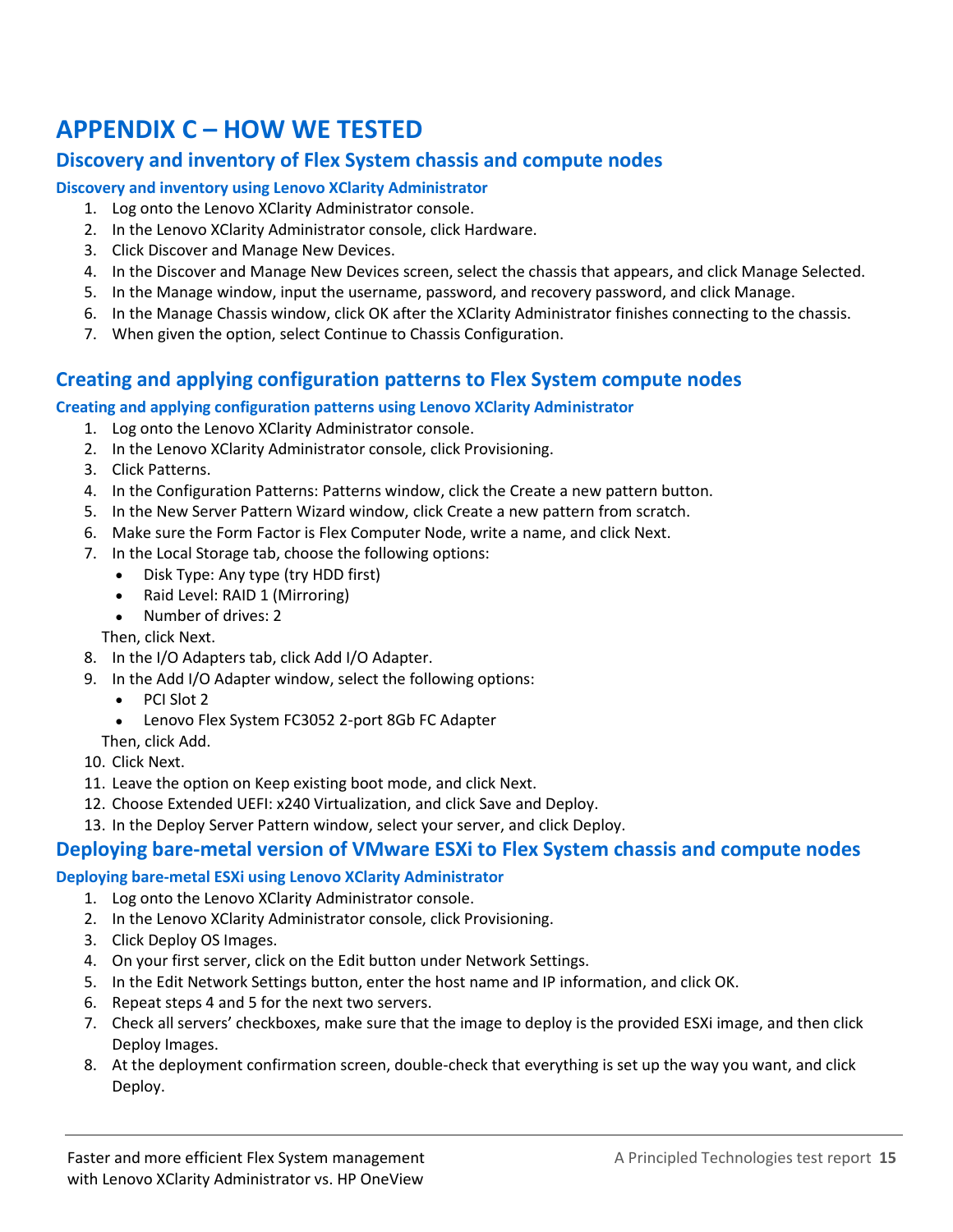# <span id="page-14-0"></span>**APPENDIX C – HOW WE TESTED**

### **Discovery and inventory of Flex System chassis and compute nodes**

#### **Discovery and inventory using Lenovo XClarity Administrator**

- 1. Log onto the Lenovo XClarity Administrator console.
- 2. In the Lenovo XClarity Administrator console, click Hardware.
- 3. Click Discover and Manage New Devices.
- 4. In the Discover and Manage New Devices screen, select the chassis that appears, and click Manage Selected.
- 5. In the Manage window, input the username, password, and recovery password, and click Manage.
- 6. In the Manage Chassis window, click OK after the XClarity Administrator finishes connecting to the chassis.
- 7. When given the option, select Continue to Chassis Configuration.

### **Creating and applying configuration patterns to Flex System compute nodes**

#### **Creating and applying configuration patterns using Lenovo XClarity Administrator**

- 1. Log onto the Lenovo XClarity Administrator console.
- 2. In the Lenovo XClarity Administrator console, click Provisioning.
- 3. Click Patterns.
- 4. In the Configuration Patterns: Patterns window, click the Create a new pattern button.
- 5. In the New Server Pattern Wizard window, click Create a new pattern from scratch.
- 6. Make sure the Form Factor is Flex Computer Node, write a name, and click Next.
- 7. In the Local Storage tab, choose the following options:
	- Disk Type: Any type (try HDD first)
	- Raid Level: RAID 1 (Mirroring)
	- Number of drives: 2
	- Then, click Next.
- 8. In the I/O Adapters tab, click Add I/O Adapter.
- 9. In the Add I/O Adapter window, select the following options:
	- PCI Slot 2
	- Lenovo Flex System FC3052 2-port 8Gb FC Adapter
	- Then, click Add.
- 10. Click Next.
- 11. Leave the option on Keep existing boot mode, and click Next.
- 12. Choose Extended UEFI: x240 Virtualization, and click Save and Deploy.
- 13. In the Deploy Server Pattern window, select your server, and click Deploy.

### **Deploying bare-metal version of VMware ESXi to Flex System chassis and compute nodes**

#### **Deploying bare-metal ESXi using Lenovo XClarity Administrator**

- 1. Log onto the Lenovo XClarity Administrator console.
- 2. In the Lenovo XClarity Administrator console, click Provisioning.
- 3. Click Deploy OS Images.
- 4. On your first server, click on the Edit button under Network Settings.
- 5. In the Edit Network Settings button, enter the host name and IP information, and click OK.
- 6. Repeat steps 4 and 5 for the next two servers.
- 7. Check all servers' checkboxes, make sure that the image to deploy is the provided ESXi image, and then click Deploy Images.
- 8. At the deployment confirmation screen, double-check that everything is set up the way you want, and click Deploy.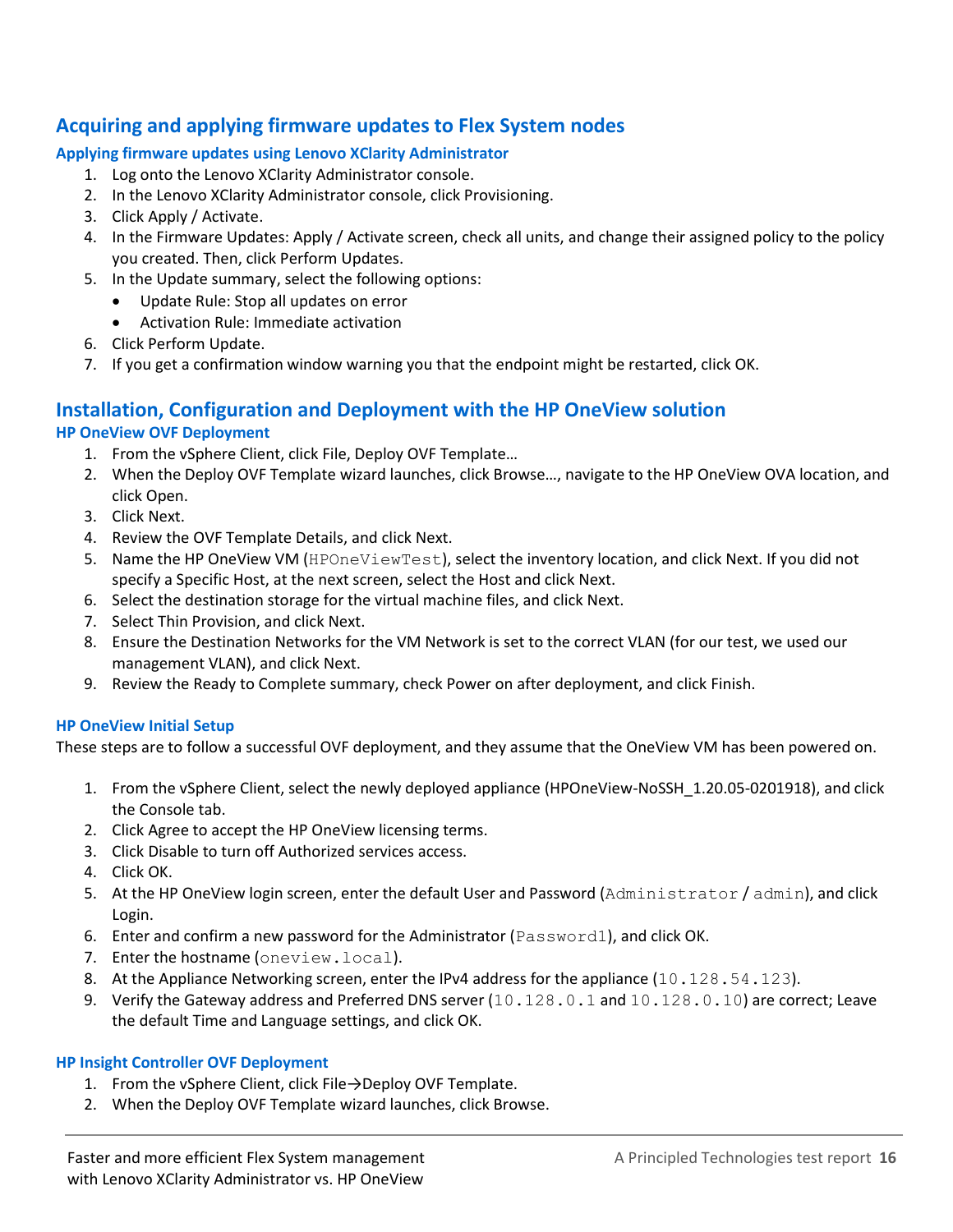### **Acquiring and applying firmware updates to Flex System nodes**

#### **Applying firmware updates using Lenovo XClarity Administrator**

- 1. Log onto the Lenovo XClarity Administrator console.
- 2. In the Lenovo XClarity Administrator console, click Provisioning.
- 3. Click Apply / Activate.
- 4. In the Firmware Updates: Apply / Activate screen, check all units, and change their assigned policy to the policy you created. Then, click Perform Updates.
- 5. In the Update summary, select the following options:
	- Update Rule: Stop all updates on error
		- Activation Rule: Immediate activation
- 6. Click Perform Update.
- 7. If you get a confirmation window warning you that the endpoint might be restarted, click OK.

# **Installation, Configuration and Deployment with the HP OneView solution**

#### **HP OneView OVF Deployment**

- 1. From the vSphere Client, click File, Deploy OVF Template…
- 2. When the Deploy OVF Template wizard launches, click Browse…, navigate to the HP OneView OVA location, and click Open.
- 3. Click Next.
- 4. Review the OVF Template Details, and click Next.
- 5. Name the HP OneView VM (HPOneViewTest), select the inventory location, and click Next. If you did not specify a Specific Host, at the next screen, select the Host and click Next.
- 6. Select the destination storage for the virtual machine files, and click Next.
- 7. Select Thin Provision, and click Next.
- 8. Ensure the Destination Networks for the VM Network is set to the correct VLAN (for our test, we used our management VLAN), and click Next.
- 9. Review the Ready to Complete summary, check Power on after deployment, and click Finish.

#### **HP OneView Initial Setup**

These steps are to follow a successful OVF deployment, and they assume that the OneView VM has been powered on.

- 1. From the vSphere Client, select the newly deployed appliance (HPOneView-NoSSH\_1.20.05-0201918), and click the Console tab.
- 2. Click Agree to accept the HP OneView licensing terms.
- 3. Click Disable to turn off Authorized services access.
- 4. Click OK.
- 5. At the HP OneView login screen, enter the default User and Password (Administrator/admin), and click Login.
- 6. Enter and confirm a new password for the Administrator (Password1), and click OK.
- 7. Enter the hostname (oneview.local).
- 8. At the Appliance Networking screen, enter the IPv4 address for the appliance (10.128.54.123).
- 9. Verify the Gateway address and Preferred DNS server (10.128.0.1 and 10.128.0.10) are correct; Leave the default Time and Language settings, and click OK.

#### **HP Insight Controller OVF Deployment**

- 1. From the vSphere Client, click File→Deploy OVF Template.
- 2. When the Deploy OVF Template wizard launches, click Browse.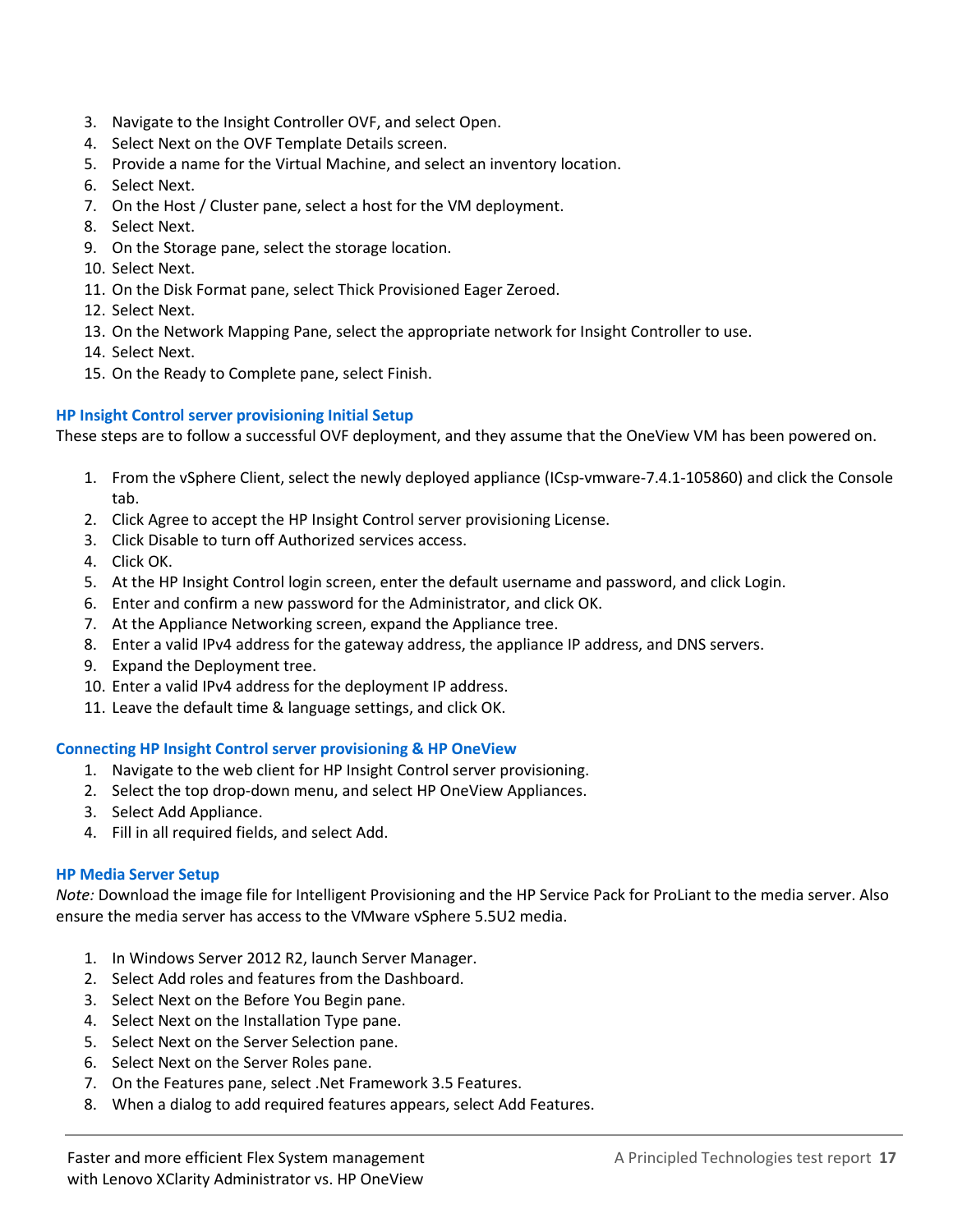- 3. Navigate to the Insight Controller OVF, and select Open.
- 4. Select Next on the OVF Template Details screen.
- 5. Provide a name for the Virtual Machine, and select an inventory location.
- 6. Select Next.
- 7. On the Host / Cluster pane, select a host for the VM deployment.
- 8. Select Next.
- 9. On the Storage pane, select the storage location.
- 10. Select Next.
- 11. On the Disk Format pane, select Thick Provisioned Eager Zeroed.
- 12. Select Next.
- 13. On the Network Mapping Pane, select the appropriate network for Insight Controller to use.
- 14. Select Next.
- 15. On the Ready to Complete pane, select Finish.

#### **HP Insight Control server provisioning Initial Setup**

These steps are to follow a successful OVF deployment, and they assume that the OneView VM has been powered on.

- 1. From the vSphere Client, select the newly deployed appliance (ICsp-vmware-7.4.1-105860) and click the Console tab.
- 2. Click Agree to accept the HP Insight Control server provisioning License.
- 3. Click Disable to turn off Authorized services access.
- 4. Click OK.
- 5. At the HP Insight Control login screen, enter the default username and password, and click Login.
- 6. Enter and confirm a new password for the Administrator, and click OK.
- 7. At the Appliance Networking screen, expand the Appliance tree.
- 8. Enter a valid IPv4 address for the gateway address, the appliance IP address, and DNS servers.
- 9. Expand the Deployment tree.
- 10. Enter a valid IPv4 address for the deployment IP address.
- 11. Leave the default time & language settings, and click OK.

#### **Connecting HP Insight Control server provisioning & HP OneView**

- 1. Navigate to the web client for HP Insight Control server provisioning.
- 2. Select the top drop-down menu, and select HP OneView Appliances.
- 3. Select Add Appliance.
- 4. Fill in all required fields, and select Add.

#### **HP Media Server Setup**

*Note:* Download the image file for Intelligent Provisioning and the HP Service Pack for ProLiant to the media server. Also ensure the media server has access to the VMware vSphere 5.5U2 media.

- 1. In Windows Server 2012 R2, launch Server Manager.
- 2. Select Add roles and features from the Dashboard.
- 3. Select Next on the Before You Begin pane.
- 4. Select Next on the Installation Type pane.
- 5. Select Next on the Server Selection pane.
- 6. Select Next on the Server Roles pane.
- 7. On the Features pane, select .Net Framework 3.5 Features.
- 8. When a dialog to add required features appears, select Add Features.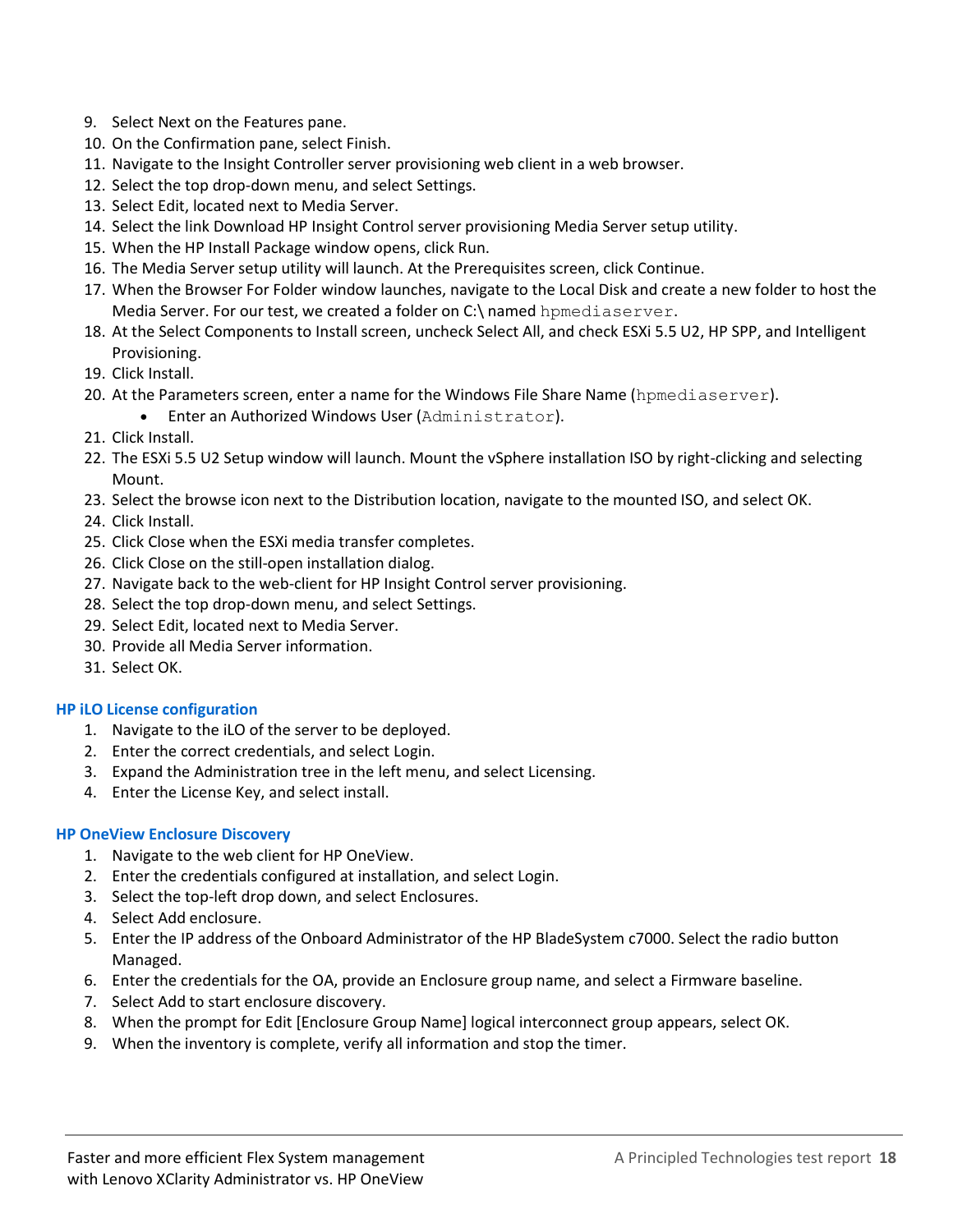- 9. Select Next on the Features pane.
- 10. On the Confirmation pane, select Finish.
- 11. Navigate to the Insight Controller server provisioning web client in a web browser.
- 12. Select the top drop-down menu, and select Settings.
- 13. Select Edit, located next to Media Server.
- 14. Select the link Download HP Insight Control server provisioning Media Server setup utility.
- 15. When the HP Install Package window opens, click Run.
- 16. The Media Server setup utility will launch. At the Prerequisites screen, click Continue.
- 17. When the Browser For Folder window launches, navigate to the Local Disk and create a new folder to host the Media Server. For our test, we created a folder on C:\ named hpmediaserver.
- 18. At the Select Components to Install screen, uncheck Select All, and check ESXi 5.5 U2, HP SPP, and Intelligent Provisioning.
- 19. Click Install.
- 20. At the Parameters screen, enter a name for the Windows File Share Name (hpmediaserver).
	- **•** Enter an Authorized Windows User (Administrator).
- 21. Click Install.
- 22. The ESXi 5.5 U2 Setup window will launch. Mount the vSphere installation ISO by right-clicking and selecting Mount.
- 23. Select the browse icon next to the Distribution location, navigate to the mounted ISO, and select OK.
- 24. Click Install.
- 25. Click Close when the ESXi media transfer completes.
- 26. Click Close on the still-open installation dialog.
- 27. Navigate back to the web-client for HP Insight Control server provisioning.
- 28. Select the top drop-down menu, and select Settings.
- 29. Select Edit, located next to Media Server.
- 30. Provide all Media Server information.
- 31. Select OK.

#### **HP iLO License configuration**

- 1. Navigate to the iLO of the server to be deployed.
- 2. Enter the correct credentials, and select Login.
- 3. Expand the Administration tree in the left menu, and select Licensing.
- 4. Enter the License Key, and select install.

#### **HP OneView Enclosure Discovery**

- 1. Navigate to the web client for HP OneView.
- 2. Enter the credentials configured at installation, and select Login.
- 3. Select the top-left drop down, and select Enclosures.
- 4. Select Add enclosure.
- 5. Enter the IP address of the Onboard Administrator of the HP BladeSystem c7000. Select the radio button Managed.
- 6. Enter the credentials for the OA, provide an Enclosure group name, and select a Firmware baseline.
- 7. Select Add to start enclosure discovery.
- 8. When the prompt for Edit [Enclosure Group Name] logical interconnect group appears, select OK.
- 9. When the inventory is complete, verify all information and stop the timer.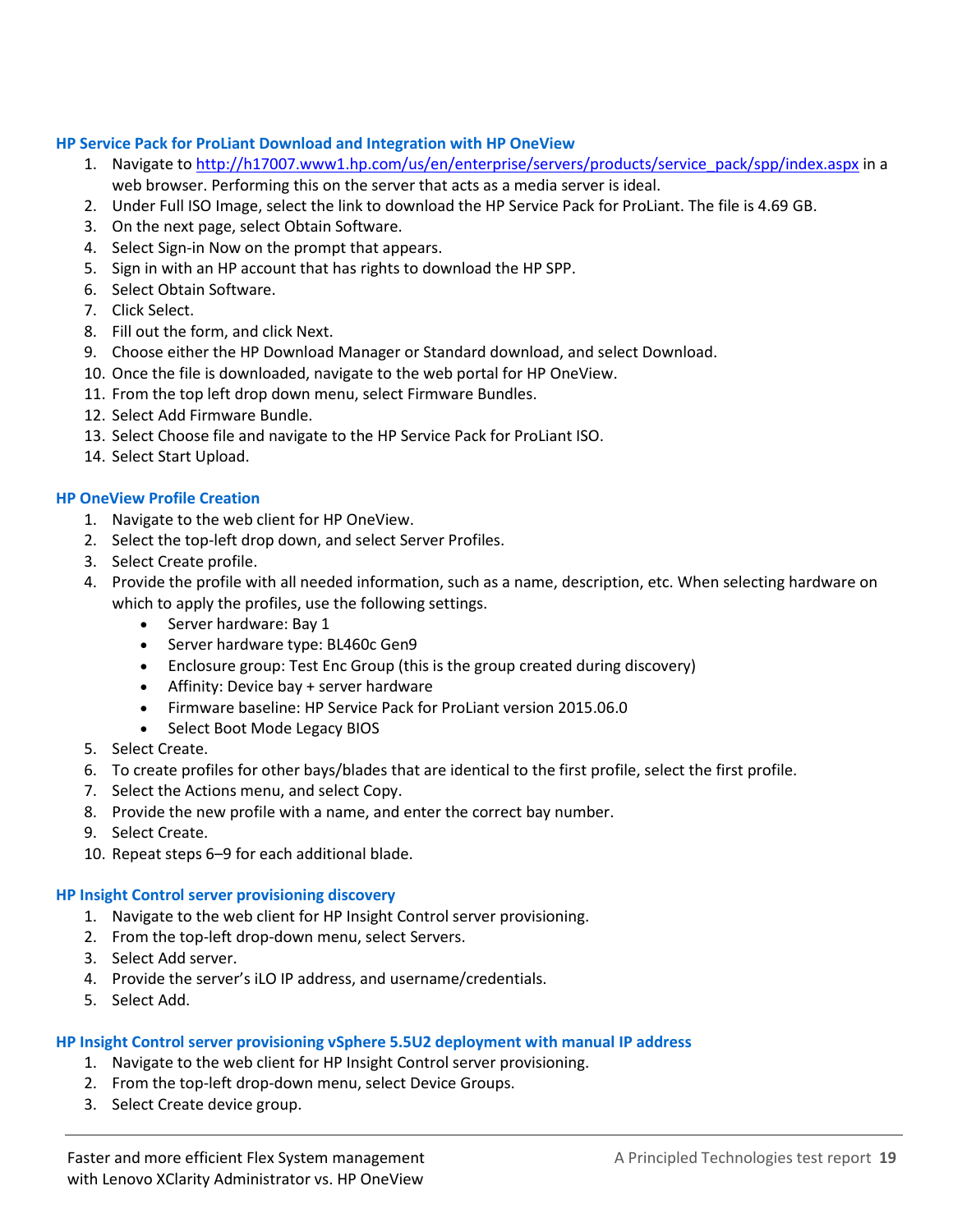#### **HP Service Pack for ProLiant Download and Integration with HP OneView**

- 1. Navigate to [http://h17007.www1.hp.com/us/en/enterprise/servers/products/service\\_pack/spp/index.aspx](http://h17007.www1.hp.com/us/en/enterprise/servers/products/service_pack/spp/index.aspx) in a web browser. Performing this on the server that acts as a media server is ideal.
- 2. Under Full ISO Image, select the link to download the HP Service Pack for ProLiant. The file is 4.69 GB.
- 3. On the next page, select Obtain Software.
- 4. Select Sign-in Now on the prompt that appears.
- 5. Sign in with an HP account that has rights to download the HP SPP.
- 6. Select Obtain Software.
- 7. Click Select.
- 8. Fill out the form, and click Next.
- 9. Choose either the HP Download Manager or Standard download, and select Download.
- 10. Once the file is downloaded, navigate to the web portal for HP OneView.
- 11. From the top left drop down menu, select Firmware Bundles.
- 12. Select Add Firmware Bundle.
- 13. Select Choose file and navigate to the HP Service Pack for ProLiant ISO.
- 14. Select Start Upload.

#### **HP OneView Profile Creation**

- 1. Navigate to the web client for HP OneView.
- 2. Select the top-left drop down, and select Server Profiles.
- 3. Select Create profile.
- 4. Provide the profile with all needed information, such as a name, description, etc. When selecting hardware on which to apply the profiles, use the following settings.
	- Server hardware: Bay 1
	- Server hardware type: BL460c Gen9
	- Enclosure group: Test Enc Group (this is the group created during discovery)
	- Affinity: Device bay + server hardware
	- Firmware baseline: HP Service Pack for ProLiant version 2015.06.0
	- Select Boot Mode Legacy BIOS
- 5. Select Create.
- 6. To create profiles for other bays/blades that are identical to the first profile, select the first profile.
- 7. Select the Actions menu, and select Copy.
- 8. Provide the new profile with a name, and enter the correct bay number.
- 9. Select Create.
- 10. Repeat steps 6–9 for each additional blade.

#### **HP Insight Control server provisioning discovery**

- 1. Navigate to the web client for HP Insight Control server provisioning.
- 2. From the top-left drop-down menu, select Servers.
- 3. Select Add server.
- 4. Provide the server's iLO IP address, and username/credentials.
- 5. Select Add.

#### **HP Insight Control server provisioning vSphere 5.5U2 deployment with manual IP address**

- 1. Navigate to the web client for HP Insight Control server provisioning.
- 2. From the top-left drop-down menu, select Device Groups.
- 3. Select Create device group.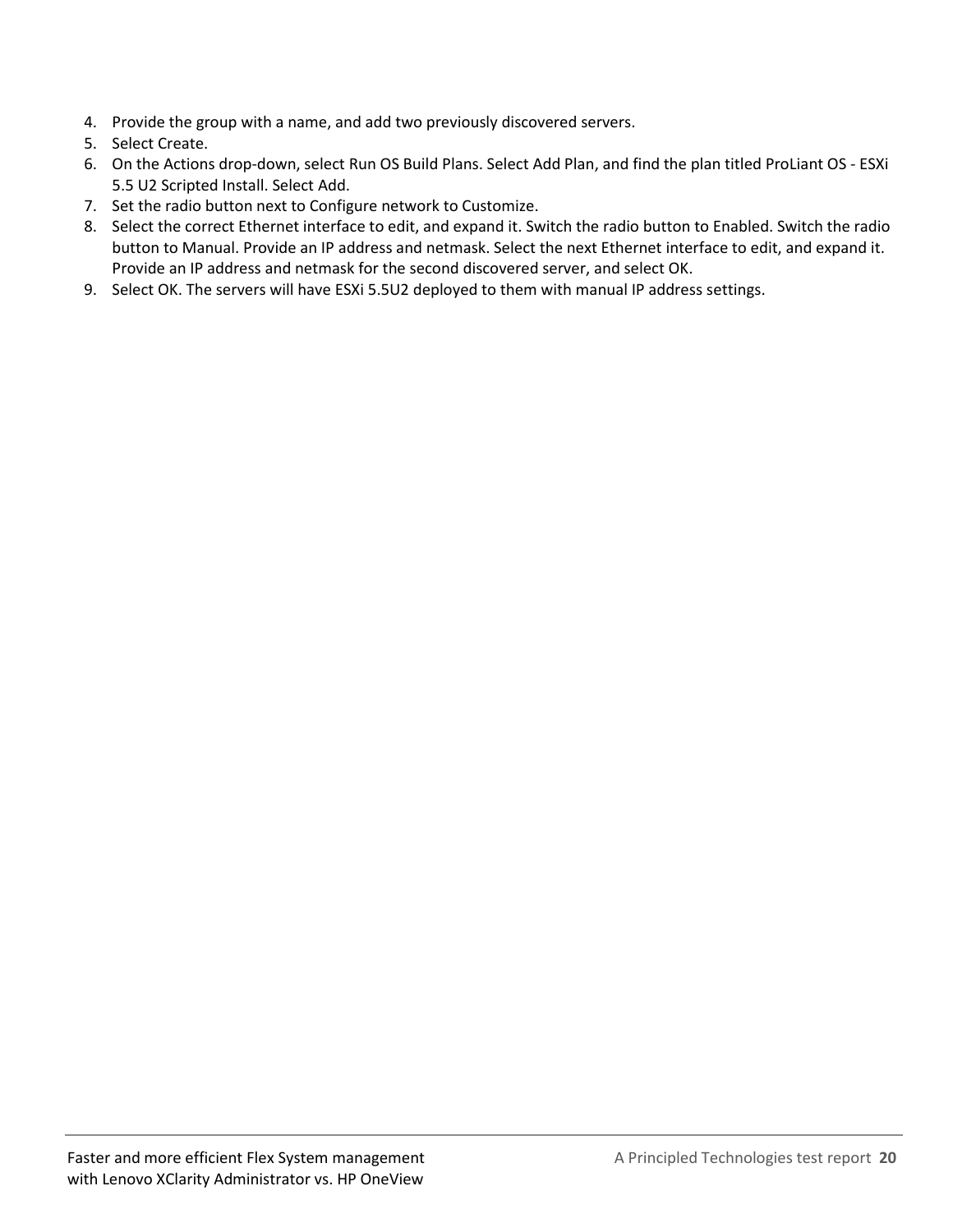- 4. Provide the group with a name, and add two previously discovered servers.
- 5. Select Create.
- 6. On the Actions drop-down, select Run OS Build Plans. Select Add Plan, and find the plan titled ProLiant OS ESXi 5.5 U2 Scripted Install. Select Add.
- 7. Set the radio button next to Configure network to Customize.
- 8. Select the correct Ethernet interface to edit, and expand it. Switch the radio button to Enabled. Switch the radio button to Manual. Provide an IP address and netmask. Select the next Ethernet interface to edit, and expand it. Provide an IP address and netmask for the second discovered server, and select OK.
- 9. Select OK. The servers will have ESXi 5.5U2 deployed to them with manual IP address settings.